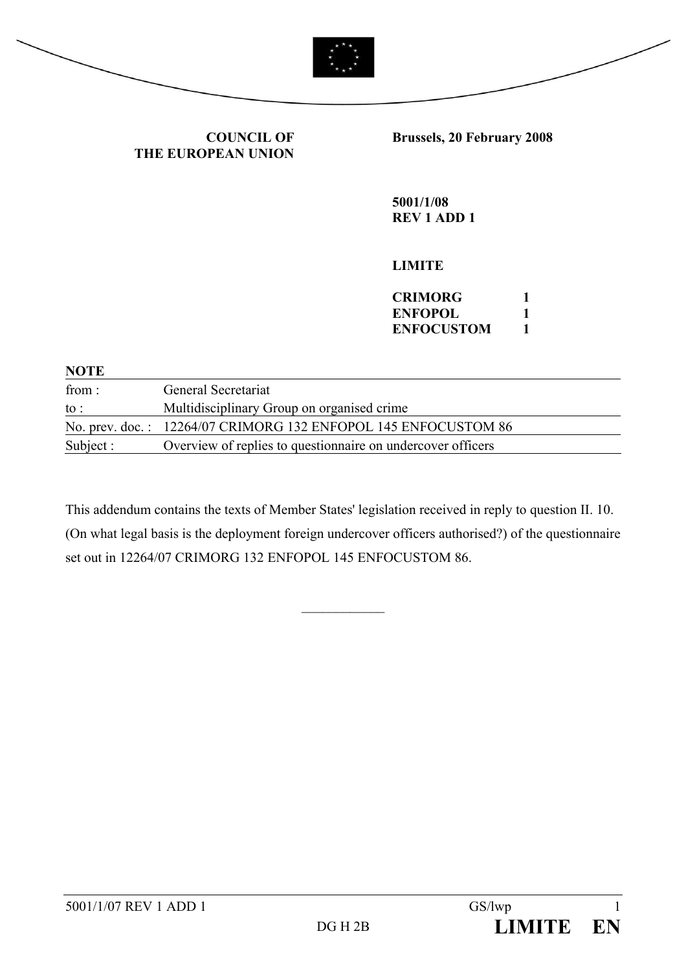

**COUNCIL OF THE EUROPEAN UNION** **Brussels, 20 February 2008** 

**5001/1/08 REV 1 ADD 1** 

# **LIMITE**

| CRIMORG           |  |
|-------------------|--|
| ENFOPOL           |  |
| <b>ENFOCUSTOM</b> |  |

| <b>NOTE</b>     |                                                                |
|-----------------|----------------------------------------------------------------|
| from :          | General Secretariat                                            |
| $\mathrm{to}$ : | Multidisciplinary Group on organised crime                     |
|                 | No. prev. doc.: 12264/07 CRIMORG 132 ENFOPOL 145 ENFOCUSTOM 86 |
| Subject :       | Overview of replies to question aire on undercover officers    |

This addendum contains the texts of Member States' legislation received in reply to question II. 10. (On what legal basis is the deployment foreign undercover officers authorised?) of the questionnaire set out in 12264/07 CRIMORG 132 ENFOPOL 145 ENFOCUSTOM 86.

 $\mathcal{L}_\text{max}$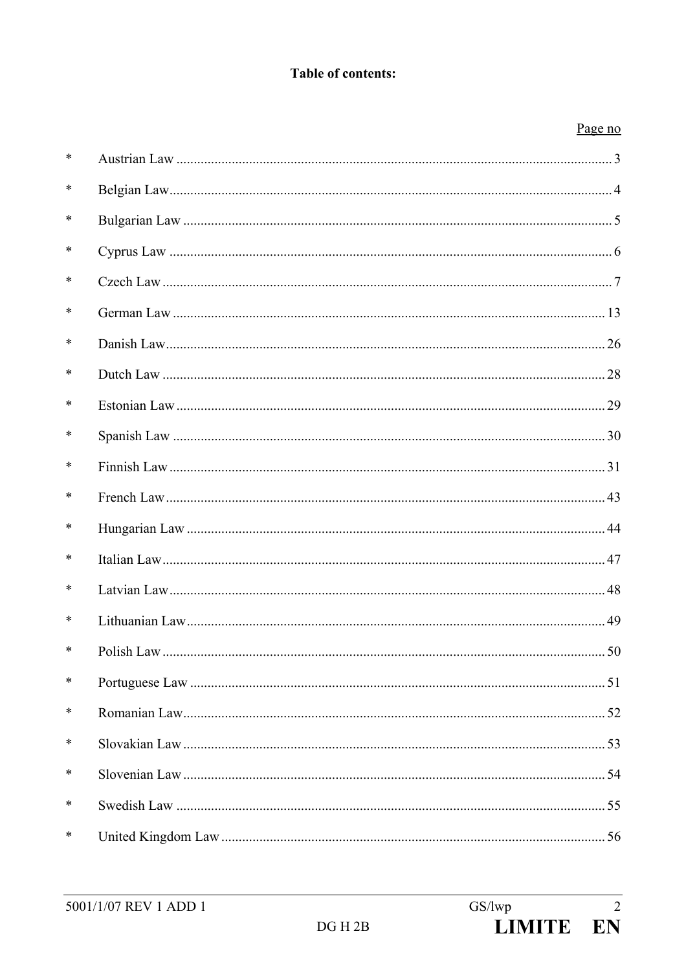# **Table of contents:**

# Page no

| ∗      |  |
|--------|--|
| ∗      |  |
| ∗      |  |
| *      |  |
| $\ast$ |  |
| *      |  |
| ∗      |  |
| *      |  |
| *      |  |
| *      |  |
| *      |  |
| ∗      |  |
| *      |  |
| ∗      |  |
| *      |  |
| *      |  |
| *      |  |
| *      |  |
| ∗      |  |
| ∗      |  |
| ∗      |  |
| ∗      |  |
| ∗      |  |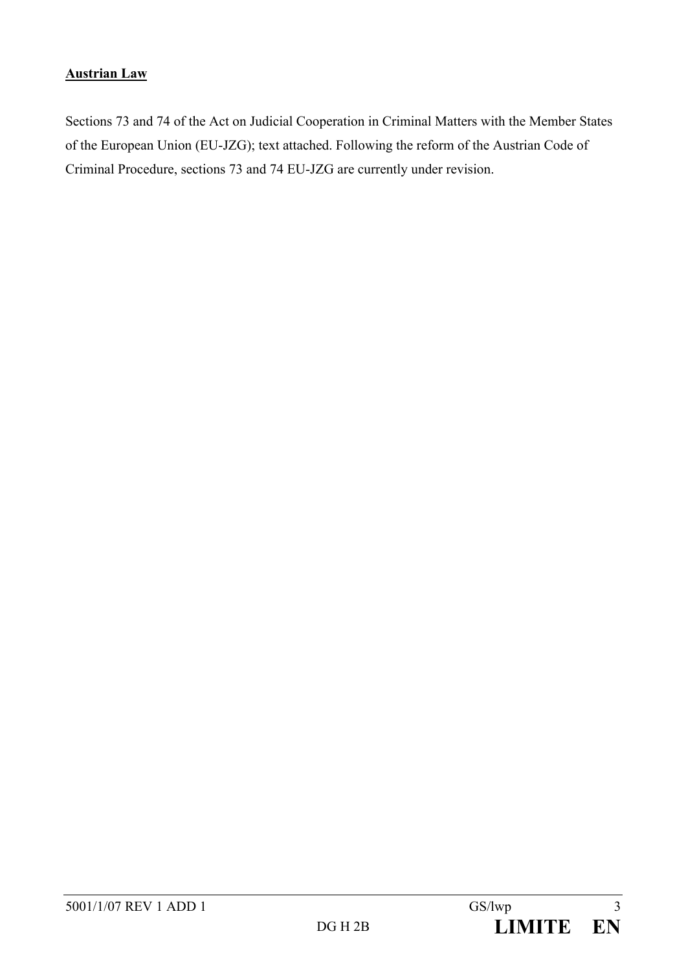# **Austrian Law**

Sections 73 and 74 of the Act on Judicial Cooperation in Criminal Matters with the Member States of the European Union (EU-JZG); text attached. Following the reform of the Austrian Code of Criminal Procedure, sections 73 and 74 EU-JZG are currently under revision.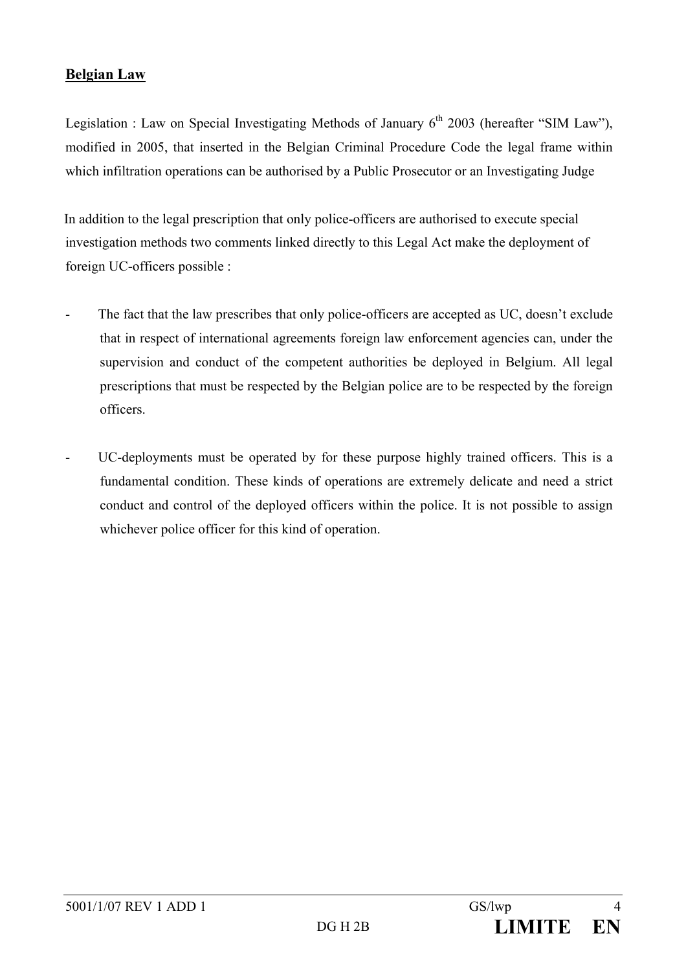# **Belgian Law**

Legislation : Law on Special Investigating Methods of January  $6<sup>th</sup>$  2003 (hereafter "SIM Law"), modified in 2005, that inserted in the Belgian Criminal Procedure Code the legal frame within which infiltration operations can be authorised by a Public Prosecutor or an Investigating Judge

In addition to the legal prescription that only police-officers are authorised to execute special investigation methods two comments linked directly to this Legal Act make the deployment of foreign UC-officers possible :

- The fact that the law prescribes that only police-officers are accepted as UC, doesn't exclude that in respect of international agreements foreign law enforcement agencies can, under the supervision and conduct of the competent authorities be deployed in Belgium. All legal prescriptions that must be respected by the Belgian police are to be respected by the foreign officers.
- UC-deployments must be operated by for these purpose highly trained officers. This is a fundamental condition. These kinds of operations are extremely delicate and need a strict conduct and control of the deployed officers within the police. It is not possible to assign whichever police officer for this kind of operation.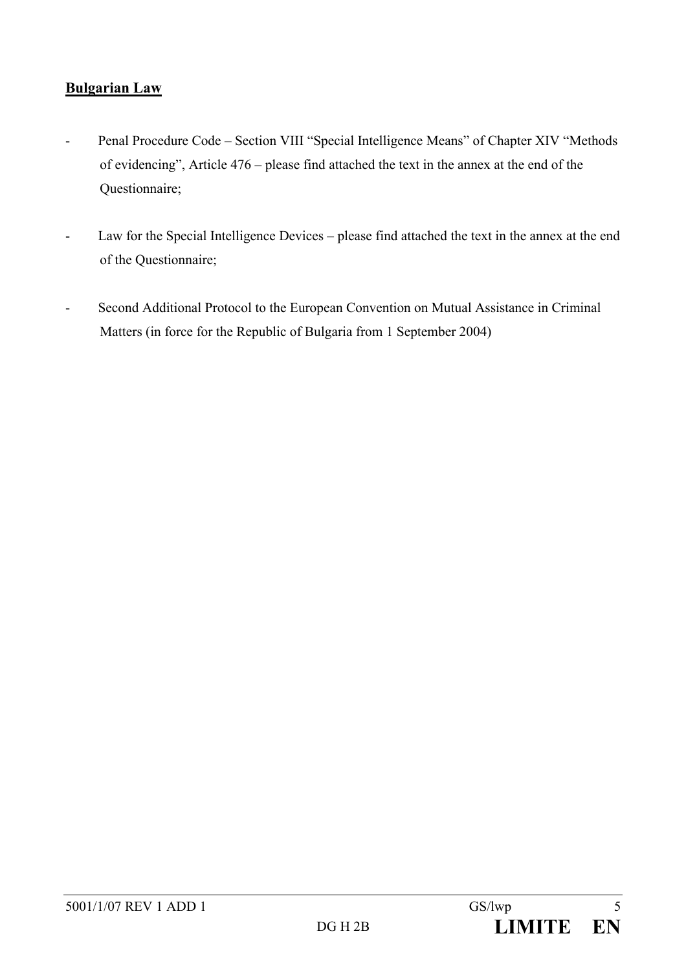# **Bulgarian Law**

- Penal Procedure Code Section VIII "Special Intelligence Means" of Chapter XIV "Methods of evidencing", Article 476 – please find attached the text in the annex at the end of the Questionnaire;
- Law for the Special Intelligence Devices please find attached the text in the annex at the end of the Questionnaire;
- Second Additional Protocol to the European Convention on Mutual Assistance in Criminal Matters (in force for the Republic of Bulgaria from 1 September 2004)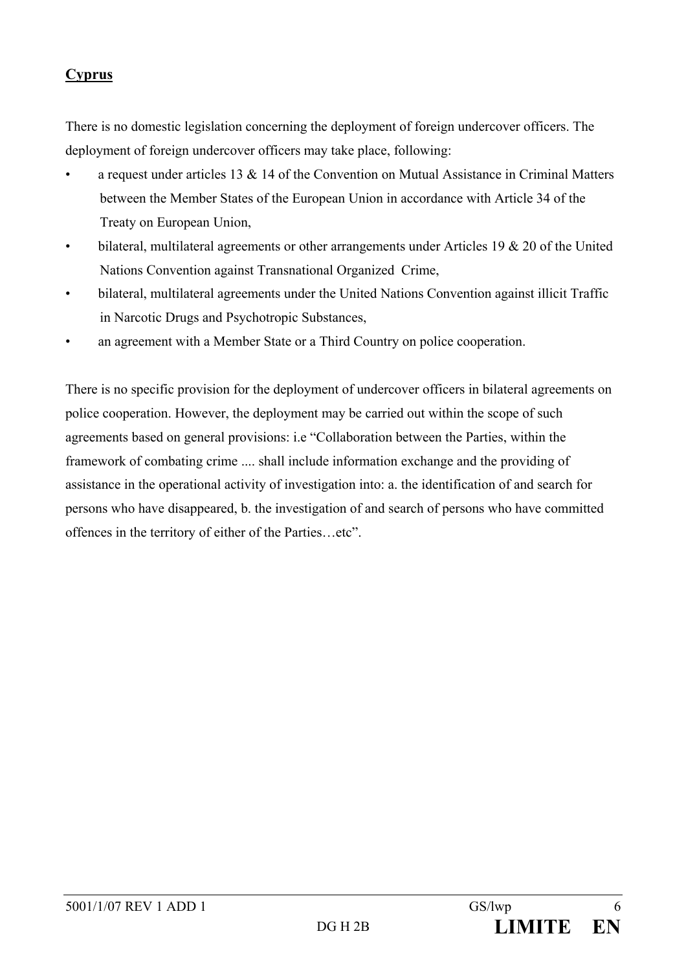# **Cyprus**

There is no domestic legislation concerning the deployment of foreign undercover officers. The deployment of foreign undercover officers may take place, following:

- a request under articles 13  $\&$  14 of the Convention on Mutual Assistance in Criminal Matters between the Member States of the European Union in accordance with Article 34 of the Treaty on European Union,
- bilateral, multilateral agreements or other arrangements under Articles 19  $& 20$  of the United Nations Convention against Transnational Organized Crime,
- bilateral, multilateral agreements under the United Nations Convention against illicit Traffic in Narcotic Drugs and Psychotropic Substances,
- an agreement with a Member State or a Third Country on police cooperation.

There is no specific provision for the deployment of undercover officers in bilateral agreements on police cooperation. However, the deployment may be carried out within the scope of such agreements based on general provisions: i.e "Collaboration between the Parties, within the framework of combating crime .... shall include information exchange and the providing of assistance in the operational activity of investigation into: a. the identification of and search for persons who have disappeared, b. the investigation of and search of persons who have committed offences in the territory of either of the Parties…etc".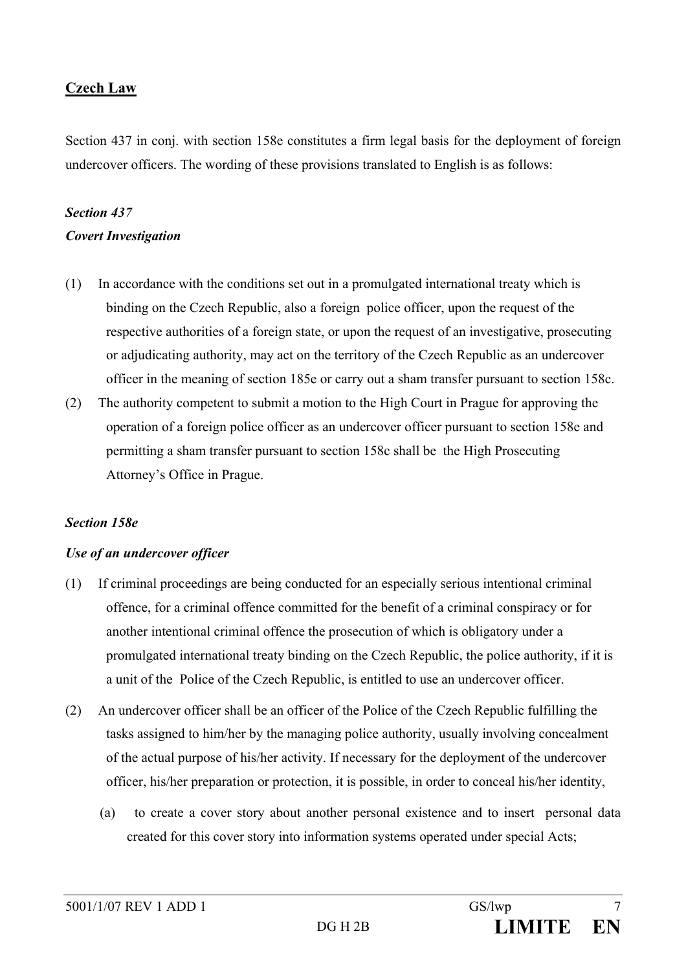# **Czech Law**

Section 437 in conj. with section 158e constitutes a firm legal basis for the deployment of foreign undercover officers. The wording of these provisions translated to English is as follows:

# *Section 437 Covert Investigation*

- (1) In accordance with the conditions set out in a promulgated international treaty which is binding on the Czech Republic, also a foreign police officer, upon the request of the respective authorities of a foreign state, or upon the request of an investigative, prosecuting or adjudicating authority, may act on the territory of the Czech Republic as an undercover officer in the meaning of section 185e or carry out a sham transfer pursuant to section 158c.
- (2) The authority competent to submit a motion to the High Court in Prague for approving the operation of a foreign police officer as an undercover officer pursuant to section 158e and permitting a sham transfer pursuant to section 158c shall be the High Prosecuting Attorney's Office in Prague.

## *Section 158e*

#### *Use of an undercover officer*

- (1) If criminal proceedings are being conducted for an especially serious intentional criminal offence, for a criminal offence committed for the benefit of a criminal conspiracy or for another intentional criminal offence the prosecution of which is obligatory under a promulgated international treaty binding on the Czech Republic, the police authority, if it is a unit of the Police of the Czech Republic, is entitled to use an undercover officer.
- (2) An undercover officer shall be an officer of the Police of the Czech Republic fulfilling the tasks assigned to him/her by the managing police authority, usually involving concealment of the actual purpose of his/her activity. If necessary for the deployment of the undercover officer, his/her preparation or protection, it is possible, in order to conceal his/her identity,
	- (a) to create a cover story about another personal existence and to insert personal data created for this cover story into information systems operated under special Acts;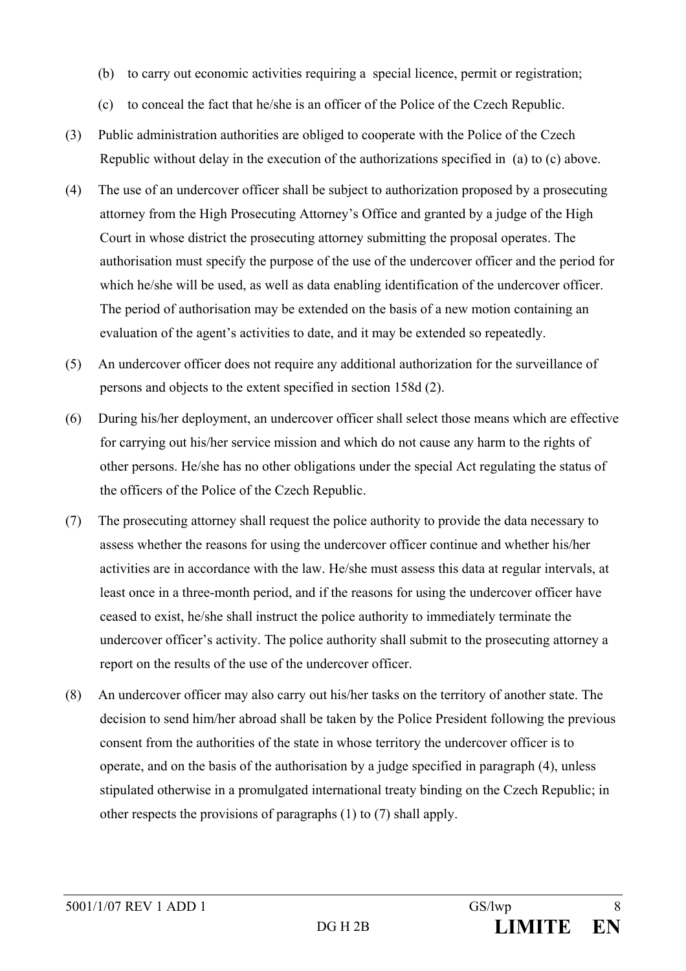- (b) to carry out economic activities requiring a special licence, permit or registration;
- (c) to conceal the fact that he/she is an officer of the Police of the Czech Republic.
- (3) Public administration authorities are obliged to cooperate with the Police of the Czech Republic without delay in the execution of the authorizations specified in (a) to (c) above.
- (4) The use of an undercover officer shall be subject to authorization proposed by a prosecuting attorney from the High Prosecuting Attorney's Office and granted by a judge of the High Court in whose district the prosecuting attorney submitting the proposal operates. The authorisation must specify the purpose of the use of the undercover officer and the period for which he/she will be used, as well as data enabling identification of the undercover officer. The period of authorisation may be extended on the basis of a new motion containing an evaluation of the agent's activities to date, and it may be extended so repeatedly.
- (5) An undercover officer does not require any additional authorization for the surveillance of persons and objects to the extent specified in section 158d (2).
- (6) During his/her deployment, an undercover officer shall select those means which are effective for carrying out his/her service mission and which do not cause any harm to the rights of other persons. He/she has no other obligations under the special Act regulating the status of the officers of the Police of the Czech Republic.
- (7) The prosecuting attorney shall request the police authority to provide the data necessary to assess whether the reasons for using the undercover officer continue and whether his/her activities are in accordance with the law. He/she must assess this data at regular intervals, at least once in a three-month period, and if the reasons for using the undercover officer have ceased to exist, he/she shall instruct the police authority to immediately terminate the undercover officer's activity. The police authority shall submit to the prosecuting attorney a report on the results of the use of the undercover officer.
- (8) An undercover officer may also carry out his/her tasks on the territory of another state. The decision to send him/her abroad shall be taken by the Police President following the previous consent from the authorities of the state in whose territory the undercover officer is to operate, and on the basis of the authorisation by a judge specified in paragraph (4), unless stipulated otherwise in a promulgated international treaty binding on the Czech Republic; in other respects the provisions of paragraphs (1) to (7) shall apply.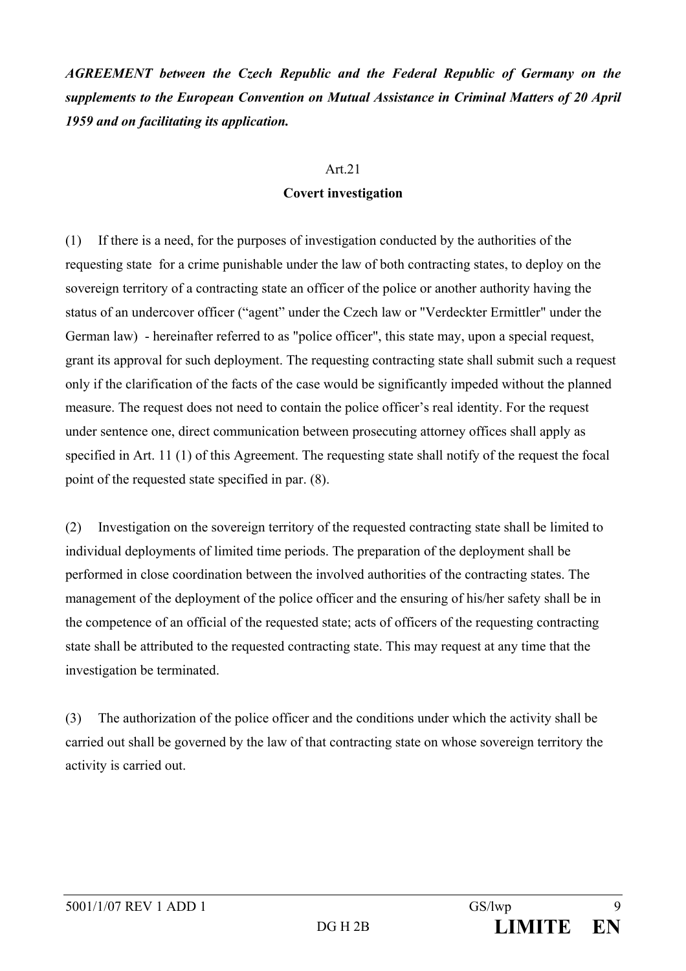*AGREEMENT between the Czech Republic and the Federal Republic of Germany on the supplements to the European Convention on Mutual Assistance in Criminal Matters of 20 April 1959 and on facilitating its application.* 

#### Art.21

#### **Covert investigation**

(1) If there is a need, for the purposes of investigation conducted by the authorities of the requesting state for a crime punishable under the law of both contracting states, to deploy on the sovereign territory of a contracting state an officer of the police or another authority having the status of an undercover officer ("agent" under the Czech law or "Verdeckter Ermittler" under the German law) - hereinafter referred to as "police officer", this state may, upon a special request, grant its approval for such deployment. The requesting contracting state shall submit such a request only if the clarification of the facts of the case would be significantly impeded without the planned measure. The request does not need to contain the police officer's real identity. For the request under sentence one, direct communication between prosecuting attorney offices shall apply as specified in Art. 11 (1) of this Agreement. The requesting state shall notify of the request the focal point of the requested state specified in par. (8).

(2) Investigation on the sovereign territory of the requested contracting state shall be limited to individual deployments of limited time periods. The preparation of the deployment shall be performed in close coordination between the involved authorities of the contracting states. The management of the deployment of the police officer and the ensuring of his/her safety shall be in the competence of an official of the requested state; acts of officers of the requesting contracting state shall be attributed to the requested contracting state. This may request at any time that the investigation be terminated.

(3) The authorization of the police officer and the conditions under which the activity shall be carried out shall be governed by the law of that contracting state on whose sovereign territory the activity is carried out.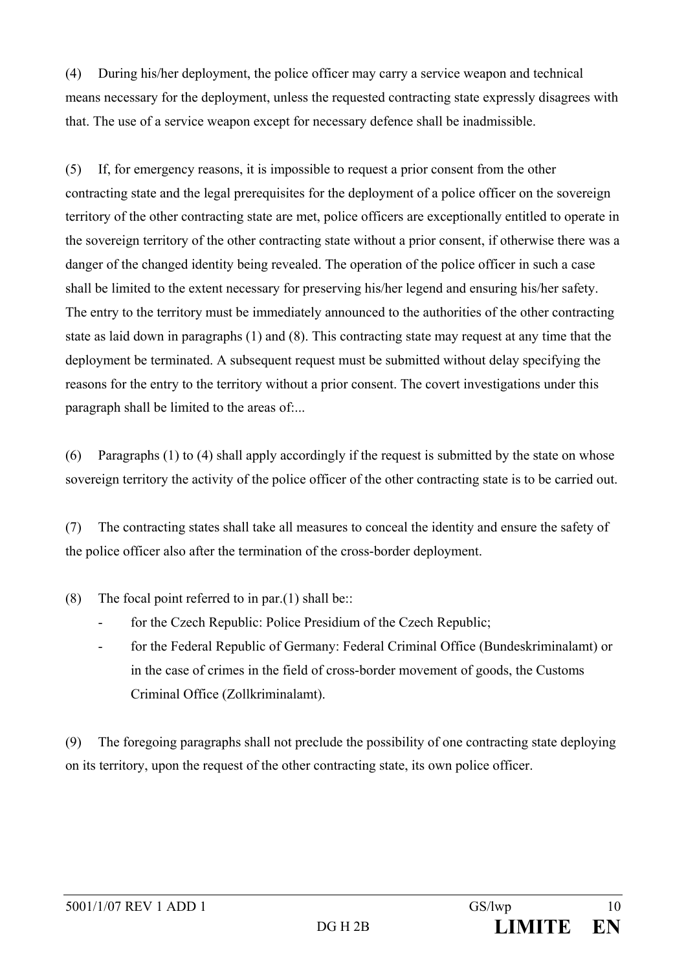(4) During his/her deployment, the police officer may carry a service weapon and technical means necessary for the deployment, unless the requested contracting state expressly disagrees with that. The use of a service weapon except for necessary defence shall be inadmissible.

(5) If, for emergency reasons, it is impossible to request a prior consent from the other contracting state and the legal prerequisites for the deployment of a police officer on the sovereign territory of the other contracting state are met, police officers are exceptionally entitled to operate in the sovereign territory of the other contracting state without a prior consent, if otherwise there was a danger of the changed identity being revealed. The operation of the police officer in such a case shall be limited to the extent necessary for preserving his/her legend and ensuring his/her safety. The entry to the territory must be immediately announced to the authorities of the other contracting state as laid down in paragraphs (1) and (8). This contracting state may request at any time that the deployment be terminated. A subsequent request must be submitted without delay specifying the reasons for the entry to the territory without a prior consent. The covert investigations under this paragraph shall be limited to the areas of:...

(6) Paragraphs (1) to (4) shall apply accordingly if the request is submitted by the state on whose sovereign territory the activity of the police officer of the other contracting state is to be carried out.

(7) The contracting states shall take all measures to conceal the identity and ensure the safety of the police officer also after the termination of the cross-border deployment.

(8) The focal point referred to in par.(1) shall be::

- for the Czech Republic: Police Presidium of the Czech Republic;
- for the Federal Republic of Germany: Federal Criminal Office (Bundeskriminalamt) or in the case of crimes in the field of cross-border movement of goods, the Customs Criminal Office (Zollkriminalamt).

(9) The foregoing paragraphs shall not preclude the possibility of one contracting state deploying on its territory, upon the request of the other contracting state, its own police officer.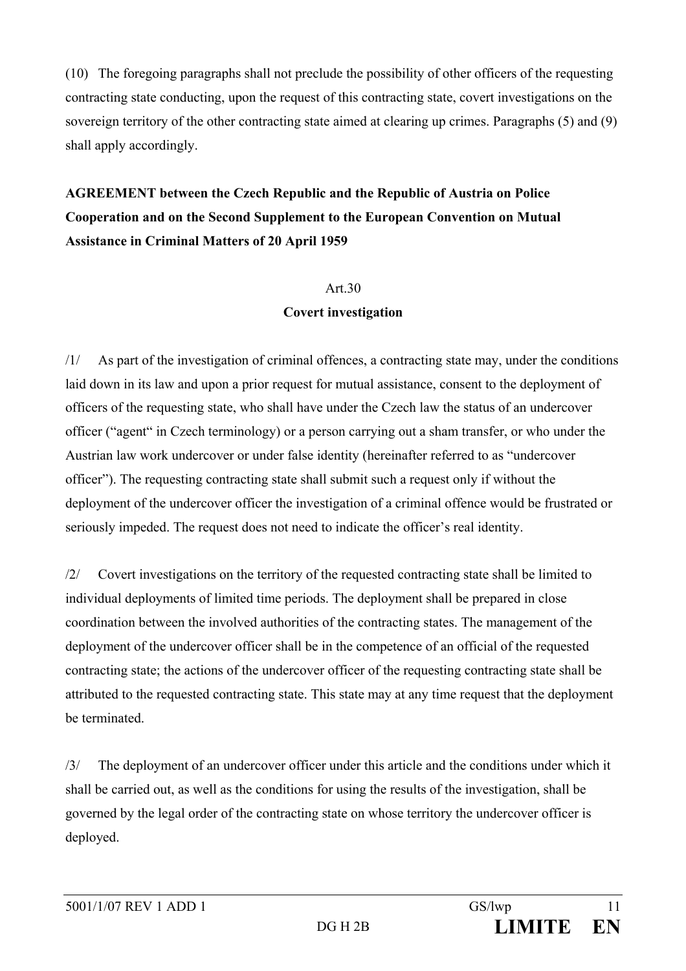(10) The foregoing paragraphs shall not preclude the possibility of other officers of the requesting contracting state conducting, upon the request of this contracting state, covert investigations on the sovereign territory of the other contracting state aimed at clearing up crimes. Paragraphs (5) and (9) shall apply accordingly.

# **AGREEMENT between the Czech Republic and the Republic of Austria on Police Cooperation and on the Second Supplement to the European Convention on Mutual Assistance in Criminal Matters of 20 April 1959**

#### Art.30

#### **Covert investigation**

/1/ As part of the investigation of criminal offences, a contracting state may, under the conditions laid down in its law and upon a prior request for mutual assistance, consent to the deployment of officers of the requesting state, who shall have under the Czech law the status of an undercover officer ("agent" in Czech terminology) or a person carrying out a sham transfer, or who under the Austrian law work undercover or under false identity (hereinafter referred to as "undercover officer"). The requesting contracting state shall submit such a request only if without the deployment of the undercover officer the investigation of a criminal offence would be frustrated or seriously impeded. The request does not need to indicate the officer's real identity.

/2/ Covert investigations on the territory of the requested contracting state shall be limited to individual deployments of limited time periods. The deployment shall be prepared in close coordination between the involved authorities of the contracting states. The management of the deployment of the undercover officer shall be in the competence of an official of the requested contracting state; the actions of the undercover officer of the requesting contracting state shall be attributed to the requested contracting state. This state may at any time request that the deployment be terminated.

/3/ The deployment of an undercover officer under this article and the conditions under which it shall be carried out, as well as the conditions for using the results of the investigation, shall be governed by the legal order of the contracting state on whose territory the undercover officer is deployed.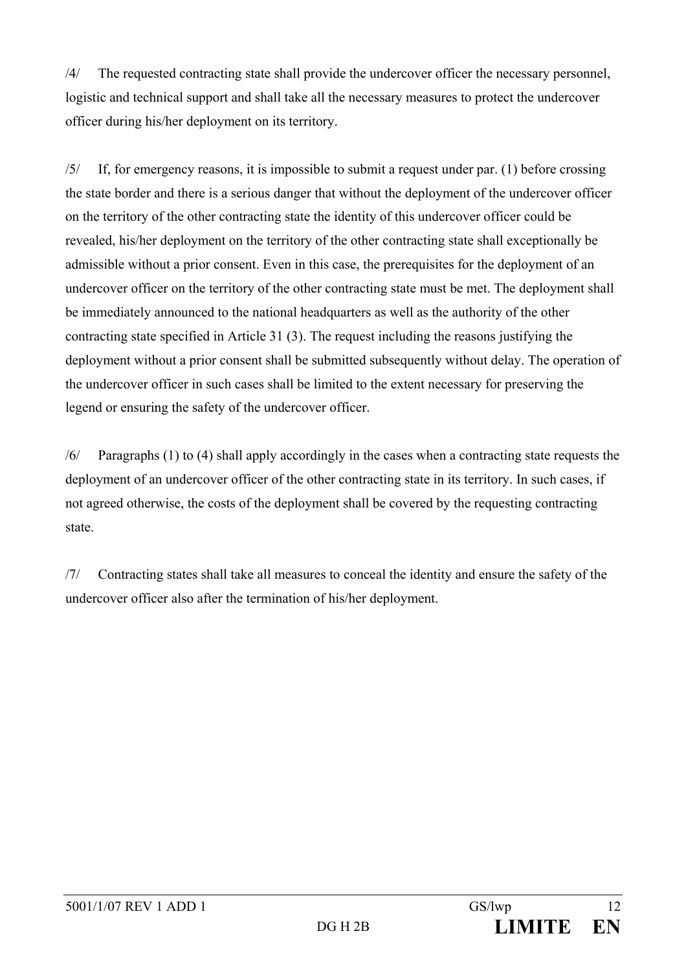/4/ The requested contracting state shall provide the undercover officer the necessary personnel, logistic and technical support and shall take all the necessary measures to protect the undercover officer during his/her deployment on its territory.

/5/ If, for emergency reasons, it is impossible to submit a request under par. (1) before crossing the state border and there is a serious danger that without the deployment of the undercover officer on the territory of the other contracting state the identity of this undercover officer could be revealed, his/her deployment on the territory of the other contracting state shall exceptionally be admissible without a prior consent. Even in this case, the prerequisites for the deployment of an undercover officer on the territory of the other contracting state must be met. The deployment shall be immediately announced to the national headquarters as well as the authority of the other contracting state specified in Article 31 (3). The request including the reasons justifying the deployment without a prior consent shall be submitted subsequently without delay. The operation of the undercover officer in such cases shall be limited to the extent necessary for preserving the legend or ensuring the safety of the undercover officer.

/6/ Paragraphs (1) to (4) shall apply accordingly in the cases when a contracting state requests the deployment of an undercover officer of the other contracting state in its territory. In such cases, if not agreed otherwise, the costs of the deployment shall be covered by the requesting contracting state.

/7/ Contracting states shall take all measures to conceal the identity and ensure the safety of the undercover officer also after the termination of his/her deployment.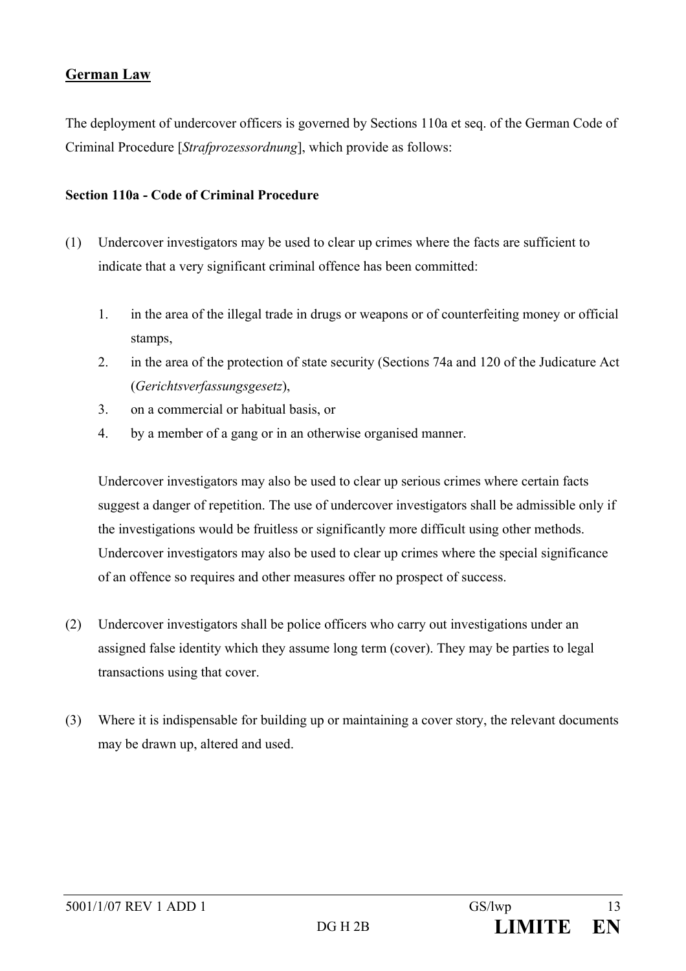# **German Law**

The deployment of undercover officers is governed by Sections 110a et seq. of the German Code of Criminal Procedure [*Strafprozessordnung*], which provide as follows:

### **Section 110a - Code of Criminal Procedure**

- (1) Undercover investigators may be used to clear up crimes where the facts are sufficient to indicate that a very significant criminal offence has been committed:
	- 1. in the area of the illegal trade in drugs or weapons or of counterfeiting money or official stamps,
	- 2. in the area of the protection of state security (Sections 74a and 120 of the Judicature Act (*Gerichtsverfassungsgesetz*),
	- 3. on a commercial or habitual basis, or
	- 4. by a member of a gang or in an otherwise organised manner.

Undercover investigators may also be used to clear up serious crimes where certain facts suggest a danger of repetition. The use of undercover investigators shall be admissible only if the investigations would be fruitless or significantly more difficult using other methods. Undercover investigators may also be used to clear up crimes where the special significance of an offence so requires and other measures offer no prospect of success.

- (2) Undercover investigators shall be police officers who carry out investigations under an assigned false identity which they assume long term (cover). They may be parties to legal transactions using that cover.
- (3) Where it is indispensable for building up or maintaining a cover story, the relevant documents may be drawn up, altered and used.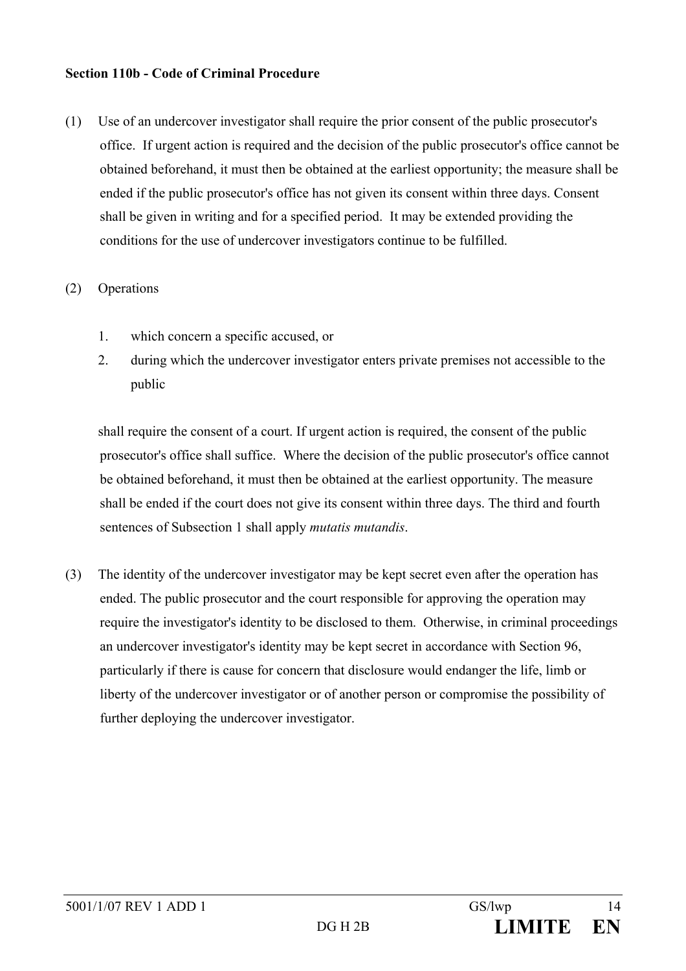#### **Section 110b - Code of Criminal Procedure**

(1) Use of an undercover investigator shall require the prior consent of the public prosecutor's office. If urgent action is required and the decision of the public prosecutor's office cannot be obtained beforehand, it must then be obtained at the earliest opportunity; the measure shall be ended if the public prosecutor's office has not given its consent within three days. Consent shall be given in writing and for a specified period. It may be extended providing the conditions for the use of undercover investigators continue to be fulfilled.

#### (2) Operations

- 1. which concern a specific accused, or
- 2. during which the undercover investigator enters private premises not accessible to the public

shall require the consent of a court. If urgent action is required, the consent of the public prosecutor's office shall suffice. Where the decision of the public prosecutor's office cannot be obtained beforehand, it must then be obtained at the earliest opportunity. The measure shall be ended if the court does not give its consent within three days. The third and fourth sentences of Subsection 1 shall apply *mutatis mutandis*.

(3) The identity of the undercover investigator may be kept secret even after the operation has ended. The public prosecutor and the court responsible for approving the operation may require the investigator's identity to be disclosed to them. Otherwise, in criminal proceedings an undercover investigator's identity may be kept secret in accordance with Section 96, particularly if there is cause for concern that disclosure would endanger the life, limb or liberty of the undercover investigator or of another person or compromise the possibility of further deploying the undercover investigator.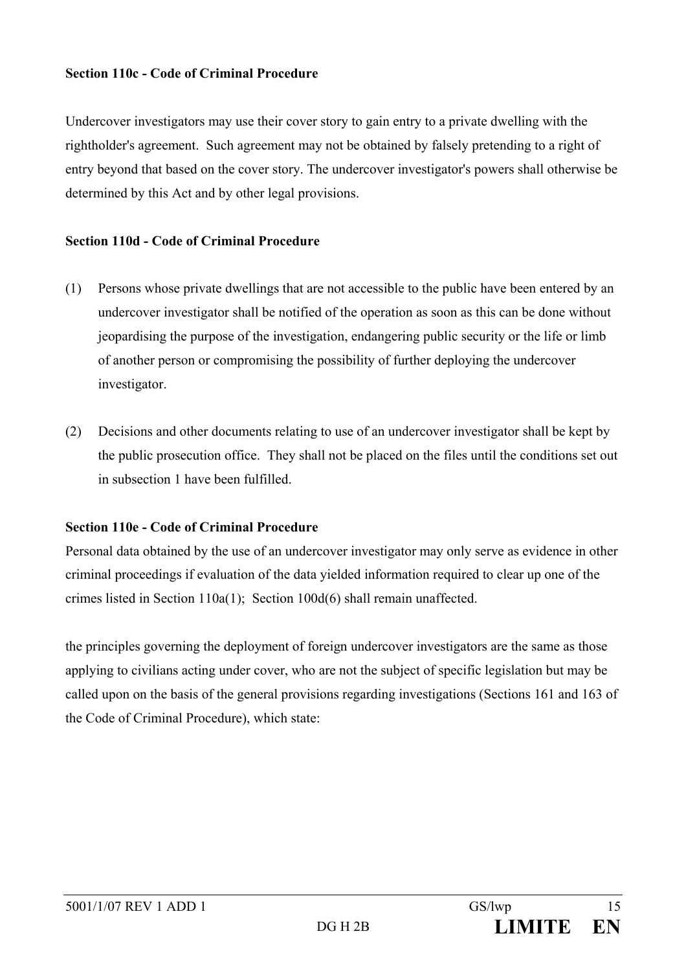#### **Section 110c - Code of Criminal Procedure**

Undercover investigators may use their cover story to gain entry to a private dwelling with the rightholder's agreement. Such agreement may not be obtained by falsely pretending to a right of entry beyond that based on the cover story. The undercover investigator's powers shall otherwise be determined by this Act and by other legal provisions.

#### **Section 110d - Code of Criminal Procedure**

- (1) Persons whose private dwellings that are not accessible to the public have been entered by an undercover investigator shall be notified of the operation as soon as this can be done without jeopardising the purpose of the investigation, endangering public security or the life or limb of another person or compromising the possibility of further deploying the undercover investigator.
- (2) Decisions and other documents relating to use of an undercover investigator shall be kept by the public prosecution office. They shall not be placed on the files until the conditions set out in subsection 1 have been fulfilled.

## **Section 110e - Code of Criminal Procedure**

Personal data obtained by the use of an undercover investigator may only serve as evidence in other criminal proceedings if evaluation of the data yielded information required to clear up one of the crimes listed in Section 110a(1); Section 100d(6) shall remain unaffected.

the principles governing the deployment of foreign undercover investigators are the same as those applying to civilians acting under cover, who are not the subject of specific legislation but may be called upon on the basis of the general provisions regarding investigations (Sections 161 and 163 of the Code of Criminal Procedure), which state: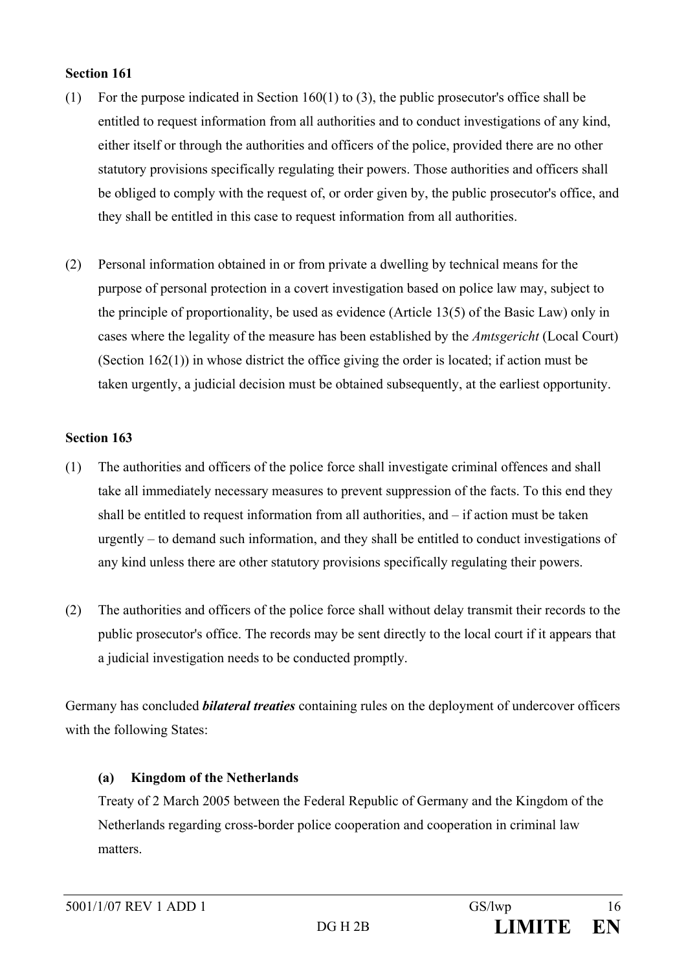#### **Section 161**

- (1) For the purpose indicated in Section 160(1) to (3), the public prosecutor's office shall be entitled to request information from all authorities and to conduct investigations of any kind, either itself or through the authorities and officers of the police, provided there are no other statutory provisions specifically regulating their powers. Those authorities and officers shall be obliged to comply with the request of, or order given by, the public prosecutor's office, and they shall be entitled in this case to request information from all authorities.
- (2) Personal information obtained in or from private a dwelling by technical means for the purpose of personal protection in a covert investigation based on police law may, subject to the principle of proportionality, be used as evidence (Article 13(5) of the Basic Law) only in cases where the legality of the measure has been established by the *Amtsgericht* (Local Court) (Section 162(1)) in whose district the office giving the order is located; if action must be taken urgently, a judicial decision must be obtained subsequently, at the earliest opportunity.

## **Section 163**

- (1) The authorities and officers of the police force shall investigate criminal offences and shall take all immediately necessary measures to prevent suppression of the facts. To this end they shall be entitled to request information from all authorities, and – if action must be taken urgently – to demand such information, and they shall be entitled to conduct investigations of any kind unless there are other statutory provisions specifically regulating their powers.
- (2) The authorities and officers of the police force shall without delay transmit their records to the public prosecutor's office. The records may be sent directly to the local court if it appears that a judicial investigation needs to be conducted promptly.

Germany has concluded *bilateral treaties* containing rules on the deployment of undercover officers with the following States:

## **(a) Kingdom of the Netherlands**

Treaty of 2 March 2005 between the Federal Republic of Germany and the Kingdom of the Netherlands regarding cross-border police cooperation and cooperation in criminal law matters.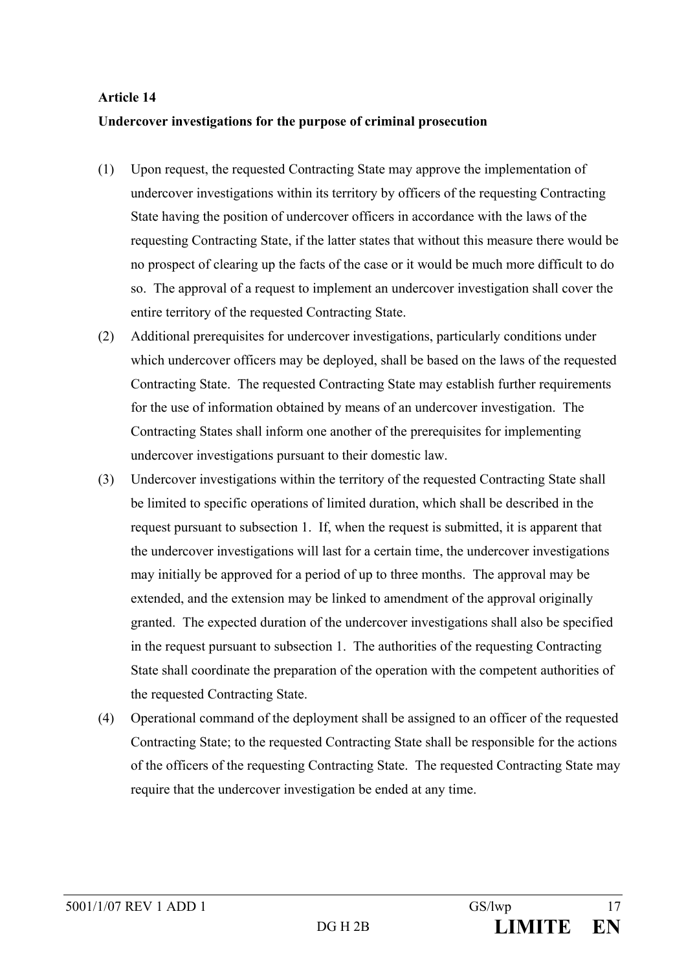#### **Article 14**

#### **Undercover investigations for the purpose of criminal prosecution**

- (1) Upon request, the requested Contracting State may approve the implementation of undercover investigations within its territory by officers of the requesting Contracting State having the position of undercover officers in accordance with the laws of the requesting Contracting State, if the latter states that without this measure there would be no prospect of clearing up the facts of the case or it would be much more difficult to do so. The approval of a request to implement an undercover investigation shall cover the entire territory of the requested Contracting State.
- (2) Additional prerequisites for undercover investigations, particularly conditions under which undercover officers may be deployed, shall be based on the laws of the requested Contracting State. The requested Contracting State may establish further requirements for the use of information obtained by means of an undercover investigation. The Contracting States shall inform one another of the prerequisites for implementing undercover investigations pursuant to their domestic law.
- (3) Undercover investigations within the territory of the requested Contracting State shall be limited to specific operations of limited duration, which shall be described in the request pursuant to subsection 1. If, when the request is submitted, it is apparent that the undercover investigations will last for a certain time, the undercover investigations may initially be approved for a period of up to three months. The approval may be extended, and the extension may be linked to amendment of the approval originally granted. The expected duration of the undercover investigations shall also be specified in the request pursuant to subsection 1. The authorities of the requesting Contracting State shall coordinate the preparation of the operation with the competent authorities of the requested Contracting State.
- (4) Operational command of the deployment shall be assigned to an officer of the requested Contracting State; to the requested Contracting State shall be responsible for the actions of the officers of the requesting Contracting State. The requested Contracting State may require that the undercover investigation be ended at any time.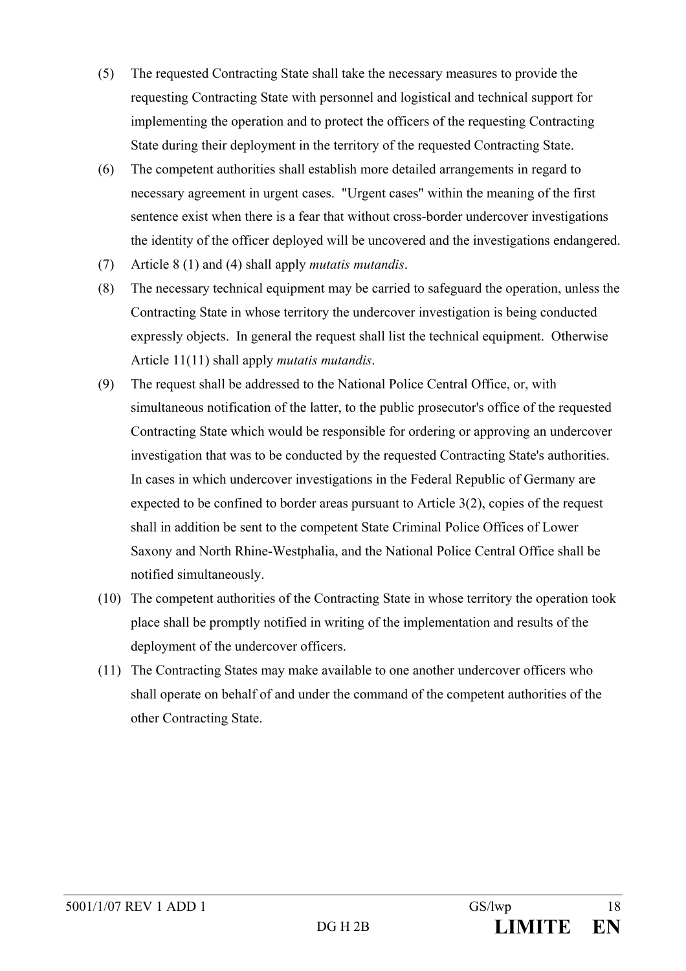- (5) The requested Contracting State shall take the necessary measures to provide the requesting Contracting State with personnel and logistical and technical support for implementing the operation and to protect the officers of the requesting Contracting State during their deployment in the territory of the requested Contracting State.
- (6) The competent authorities shall establish more detailed arrangements in regard to necessary agreement in urgent cases. "Urgent cases" within the meaning of the first sentence exist when there is a fear that without cross-border undercover investigations the identity of the officer deployed will be uncovered and the investigations endangered.
- (7) Article 8 (1) and (4) shall apply *mutatis mutandis*.
- (8) The necessary technical equipment may be carried to safeguard the operation, unless the Contracting State in whose territory the undercover investigation is being conducted expressly objects. In general the request shall list the technical equipment. Otherwise Article 11(11) shall apply *mutatis mutandis*.
- (9) The request shall be addressed to the National Police Central Office, or, with simultaneous notification of the latter, to the public prosecutor's office of the requested Contracting State which would be responsible for ordering or approving an undercover investigation that was to be conducted by the requested Contracting State's authorities. In cases in which undercover investigations in the Federal Republic of Germany are expected to be confined to border areas pursuant to Article 3(2), copies of the request shall in addition be sent to the competent State Criminal Police Offices of Lower Saxony and North Rhine-Westphalia, and the National Police Central Office shall be notified simultaneously.
- (10) The competent authorities of the Contracting State in whose territory the operation took place shall be promptly notified in writing of the implementation and results of the deployment of the undercover officers.
- (11) The Contracting States may make available to one another undercover officers who shall operate on behalf of and under the command of the competent authorities of the other Contracting State.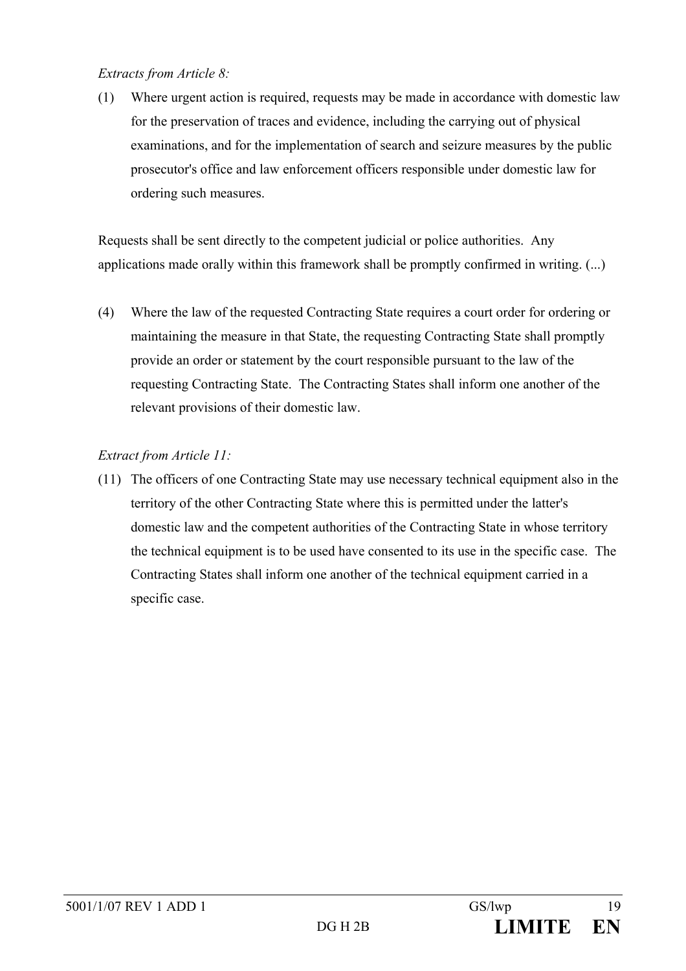#### *Extracts from Article 8:*

(1) Where urgent action is required, requests may be made in accordance with domestic law for the preservation of traces and evidence, including the carrying out of physical examinations, and for the implementation of search and seizure measures by the public prosecutor's office and law enforcement officers responsible under domestic law for ordering such measures.

Requests shall be sent directly to the competent judicial or police authorities. Any applications made orally within this framework shall be promptly confirmed in writing. (...)

(4) Where the law of the requested Contracting State requires a court order for ordering or maintaining the measure in that State, the requesting Contracting State shall promptly provide an order or statement by the court responsible pursuant to the law of the requesting Contracting State. The Contracting States shall inform one another of the relevant provisions of their domestic law.

# *Extract from Article 11:*

(11) The officers of one Contracting State may use necessary technical equipment also in the territory of the other Contracting State where this is permitted under the latter's domestic law and the competent authorities of the Contracting State in whose territory the technical equipment is to be used have consented to its use in the specific case. The Contracting States shall inform one another of the technical equipment carried in a specific case.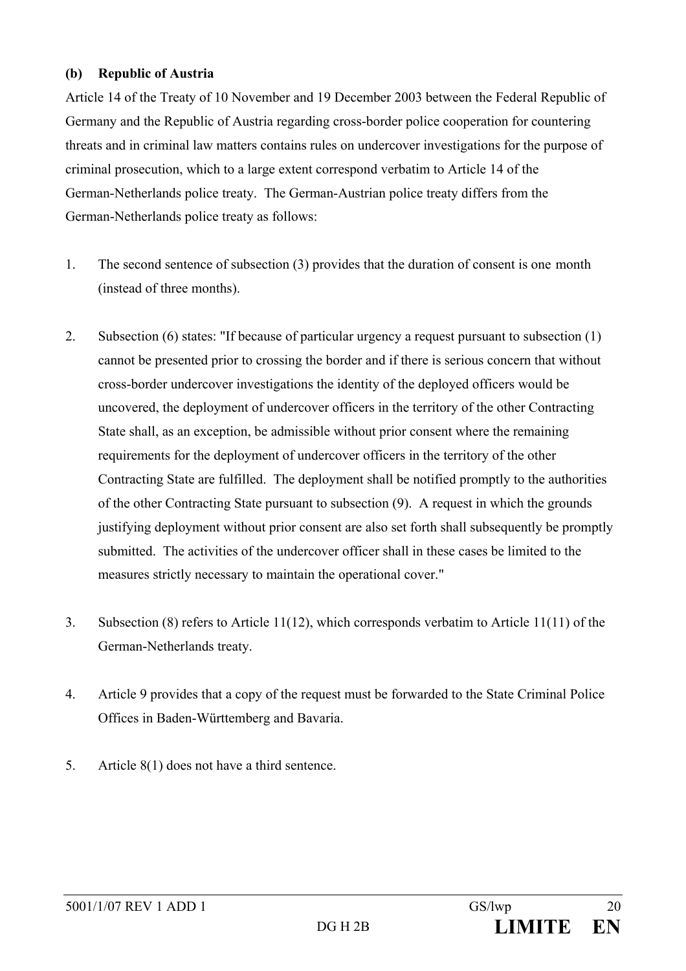#### **(b) Republic of Austria**

Article 14 of the Treaty of 10 November and 19 December 2003 between the Federal Republic of Germany and the Republic of Austria regarding cross-border police cooperation for countering threats and in criminal law matters contains rules on undercover investigations for the purpose of criminal prosecution, which to a large extent correspond verbatim to Article 14 of the German-Netherlands police treaty. The German-Austrian police treaty differs from the German-Netherlands police treaty as follows:

- 1. The second sentence of subsection (3) provides that the duration of consent is one month (instead of three months).
- 2. Subsection (6) states: "If because of particular urgency a request pursuant to subsection (1) cannot be presented prior to crossing the border and if there is serious concern that without cross-border undercover investigations the identity of the deployed officers would be uncovered, the deployment of undercover officers in the territory of the other Contracting State shall, as an exception, be admissible without prior consent where the remaining requirements for the deployment of undercover officers in the territory of the other Contracting State are fulfilled. The deployment shall be notified promptly to the authorities of the other Contracting State pursuant to subsection (9). A request in which the grounds justifying deployment without prior consent are also set forth shall subsequently be promptly submitted. The activities of the undercover officer shall in these cases be limited to the measures strictly necessary to maintain the operational cover."
- 3. Subsection (8) refers to Article 11(12), which corresponds verbatim to Article 11(11) of the German-Netherlands treaty.
- 4. Article 9 provides that a copy of the request must be forwarded to the State Criminal Police Offices in Baden-Württemberg and Bavaria.
- 5. Article 8(1) does not have a third sentence.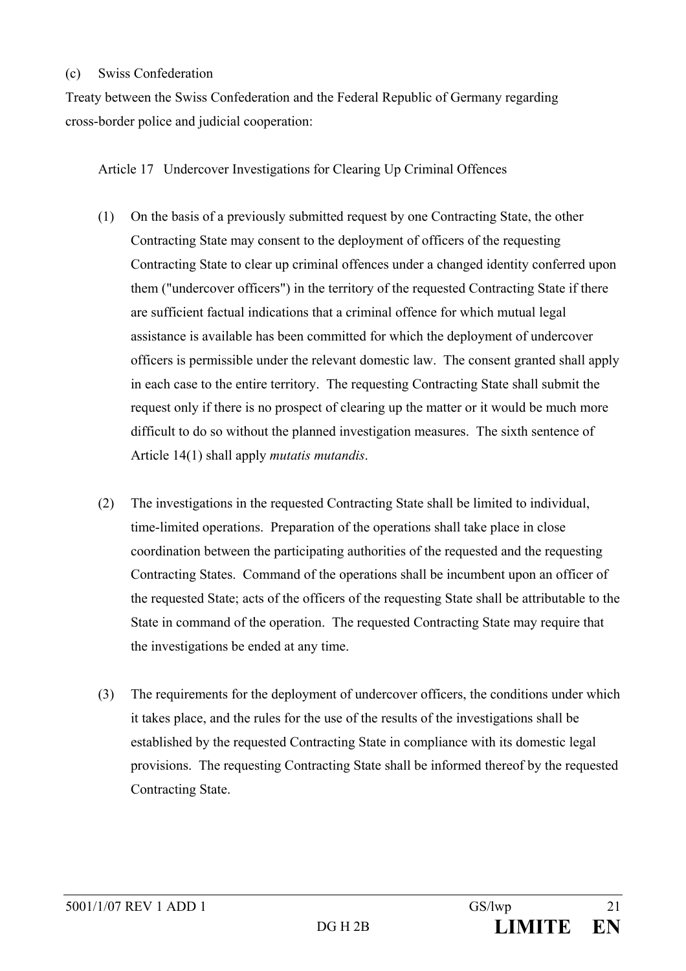#### (c) Swiss Confederation

Treaty between the Swiss Confederation and the Federal Republic of Germany regarding cross-border police and judicial cooperation:

Article 17 Undercover Investigations for Clearing Up Criminal Offences

- (1) On the basis of a previously submitted request by one Contracting State, the other Contracting State may consent to the deployment of officers of the requesting Contracting State to clear up criminal offences under a changed identity conferred upon them ("undercover officers") in the territory of the requested Contracting State if there are sufficient factual indications that a criminal offence for which mutual legal assistance is available has been committed for which the deployment of undercover officers is permissible under the relevant domestic law. The consent granted shall apply in each case to the entire territory. The requesting Contracting State shall submit the request only if there is no prospect of clearing up the matter or it would be much more difficult to do so without the planned investigation measures. The sixth sentence of Article 14(1) shall apply *mutatis mutandis*.
- (2) The investigations in the requested Contracting State shall be limited to individual, time-limited operations. Preparation of the operations shall take place in close coordination between the participating authorities of the requested and the requesting Contracting States. Command of the operations shall be incumbent upon an officer of the requested State; acts of the officers of the requesting State shall be attributable to the State in command of the operation. The requested Contracting State may require that the investigations be ended at any time.
- (3) The requirements for the deployment of undercover officers, the conditions under which it takes place, and the rules for the use of the results of the investigations shall be established by the requested Contracting State in compliance with its domestic legal provisions. The requesting Contracting State shall be informed thereof by the requested Contracting State.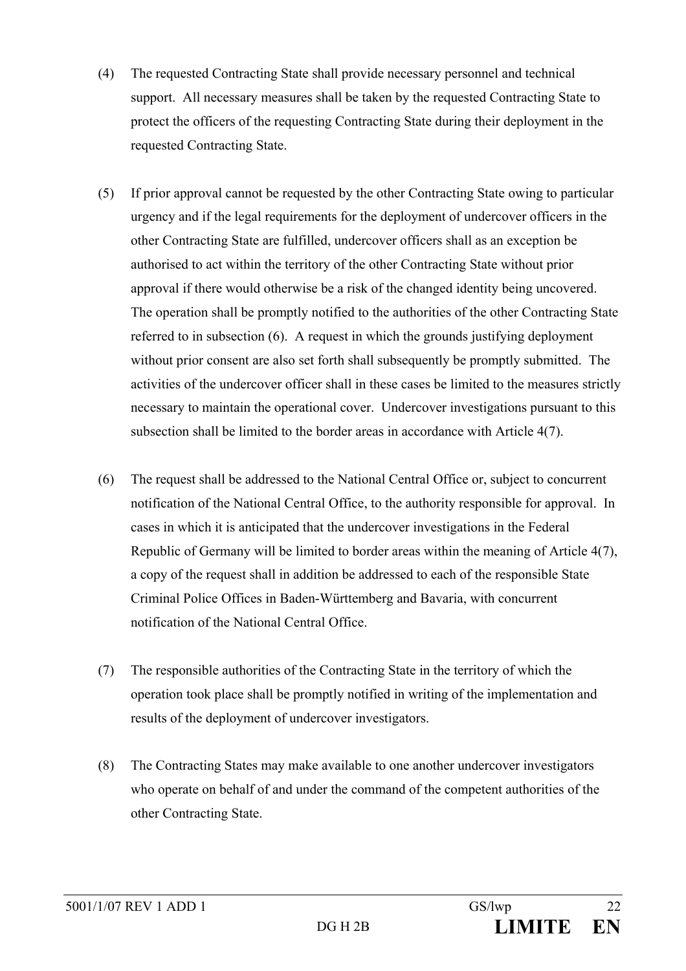- (4) The requested Contracting State shall provide necessary personnel and technical support. All necessary measures shall be taken by the requested Contracting State to protect the officers of the requesting Contracting State during their deployment in the requested Contracting State.
- (5) If prior approval cannot be requested by the other Contracting State owing to particular urgency and if the legal requirements for the deployment of undercover officers in the other Contracting State are fulfilled, undercover officers shall as an exception be authorised to act within the territory of the other Contracting State without prior approval if there would otherwise be a risk of the changed identity being uncovered. The operation shall be promptly notified to the authorities of the other Contracting State referred to in subsection (6). A request in which the grounds justifying deployment without prior consent are also set forth shall subsequently be promptly submitted. The activities of the undercover officer shall in these cases be limited to the measures strictly necessary to maintain the operational cover. Undercover investigations pursuant to this subsection shall be limited to the border areas in accordance with Article 4(7).
- (6) The request shall be addressed to the National Central Office or, subject to concurrent notification of the National Central Office, to the authority responsible for approval. In cases in which it is anticipated that the undercover investigations in the Federal Republic of Germany will be limited to border areas within the meaning of Article 4(7), a copy of the request shall in addition be addressed to each of the responsible State Criminal Police Offices in Baden-Württemberg and Bavaria, with concurrent notification of the National Central Office.
- (7) The responsible authorities of the Contracting State in the territory of which the operation took place shall be promptly notified in writing of the implementation and results of the deployment of undercover investigators.
- (8) The Contracting States may make available to one another undercover investigators who operate on behalf of and under the command of the competent authorities of the other Contracting State.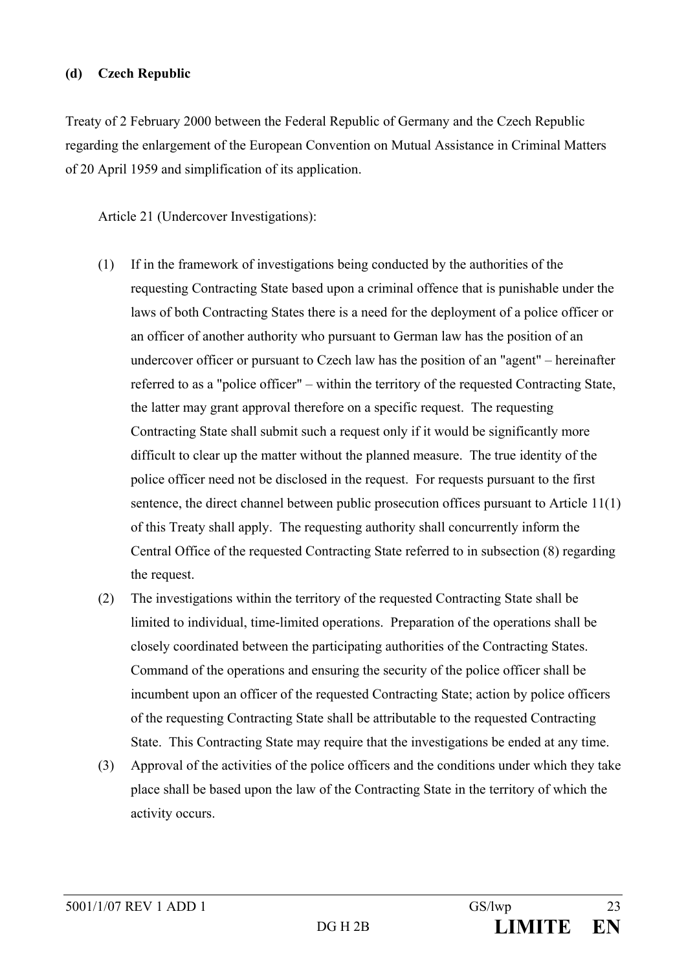#### **(d) Czech Republic**

Treaty of 2 February 2000 between the Federal Republic of Germany and the Czech Republic regarding the enlargement of the European Convention on Mutual Assistance in Criminal Matters of 20 April 1959 and simplification of its application.

Article 21 (Undercover Investigations):

- (1) If in the framework of investigations being conducted by the authorities of the requesting Contracting State based upon a criminal offence that is punishable under the laws of both Contracting States there is a need for the deployment of a police officer or an officer of another authority who pursuant to German law has the position of an undercover officer or pursuant to Czech law has the position of an "agent" – hereinafter referred to as a "police officer" – within the territory of the requested Contracting State, the latter may grant approval therefore on a specific request. The requesting Contracting State shall submit such a request only if it would be significantly more difficult to clear up the matter without the planned measure. The true identity of the police officer need not be disclosed in the request. For requests pursuant to the first sentence, the direct channel between public prosecution offices pursuant to Article 11(1) of this Treaty shall apply. The requesting authority shall concurrently inform the Central Office of the requested Contracting State referred to in subsection (8) regarding the request.
- (2) The investigations within the territory of the requested Contracting State shall be limited to individual, time-limited operations. Preparation of the operations shall be closely coordinated between the participating authorities of the Contracting States. Command of the operations and ensuring the security of the police officer shall be incumbent upon an officer of the requested Contracting State; action by police officers of the requesting Contracting State shall be attributable to the requested Contracting State. This Contracting State may require that the investigations be ended at any time.
- (3) Approval of the activities of the police officers and the conditions under which they take place shall be based upon the law of the Contracting State in the territory of which the activity occurs.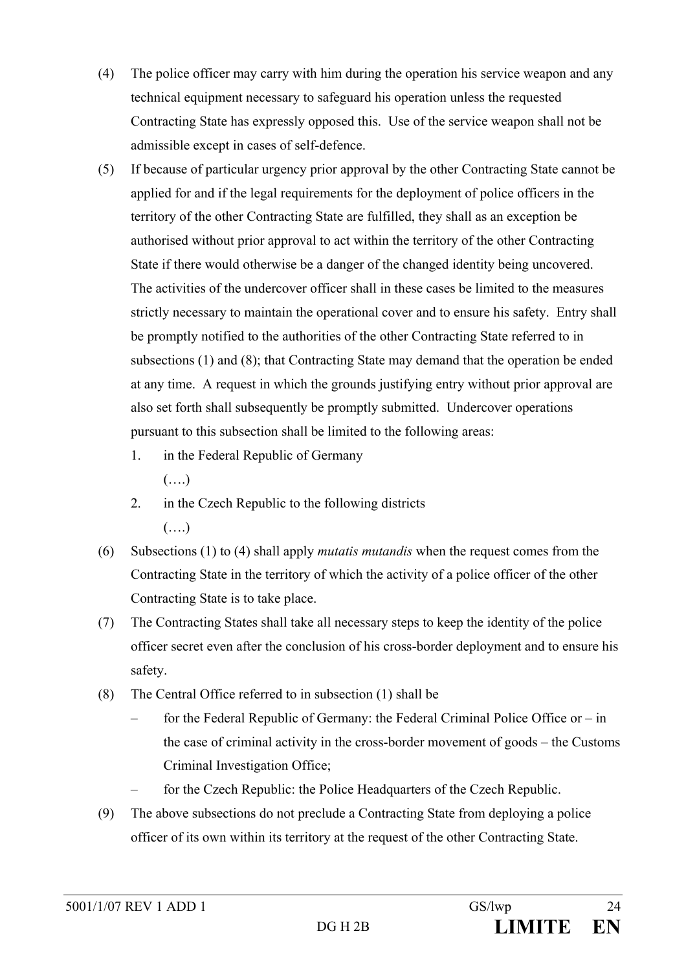- (4) The police officer may carry with him during the operation his service weapon and any technical equipment necessary to safeguard his operation unless the requested Contracting State has expressly opposed this. Use of the service weapon shall not be admissible except in cases of self-defence.
- (5) If because of particular urgency prior approval by the other Contracting State cannot be applied for and if the legal requirements for the deployment of police officers in the territory of the other Contracting State are fulfilled, they shall as an exception be authorised without prior approval to act within the territory of the other Contracting State if there would otherwise be a danger of the changed identity being uncovered. The activities of the undercover officer shall in these cases be limited to the measures strictly necessary to maintain the operational cover and to ensure his safety. Entry shall be promptly notified to the authorities of the other Contracting State referred to in subsections (1) and (8); that Contracting State may demand that the operation be ended at any time. A request in which the grounds justifying entry without prior approval are also set forth shall subsequently be promptly submitted. Undercover operations pursuant to this subsection shall be limited to the following areas:
	- 1. in the Federal Republic of Germany

(….)

- 2. in the Czech Republic to the following districts (….)
- (6) Subsections (1) to (4) shall apply *mutatis mutandis* when the request comes from the Contracting State in the territory of which the activity of a police officer of the other Contracting State is to take place.
- (7) The Contracting States shall take all necessary steps to keep the identity of the police officer secret even after the conclusion of his cross-border deployment and to ensure his safety.
- (8) The Central Office referred to in subsection (1) shall be
	- for the Federal Republic of Germany: the Federal Criminal Police Office or in the case of criminal activity in the cross-border movement of goods – the Customs Criminal Investigation Office;
	- for the Czech Republic: the Police Headquarters of the Czech Republic.
- (9) The above subsections do not preclude a Contracting State from deploying a police officer of its own within its territory at the request of the other Contracting State.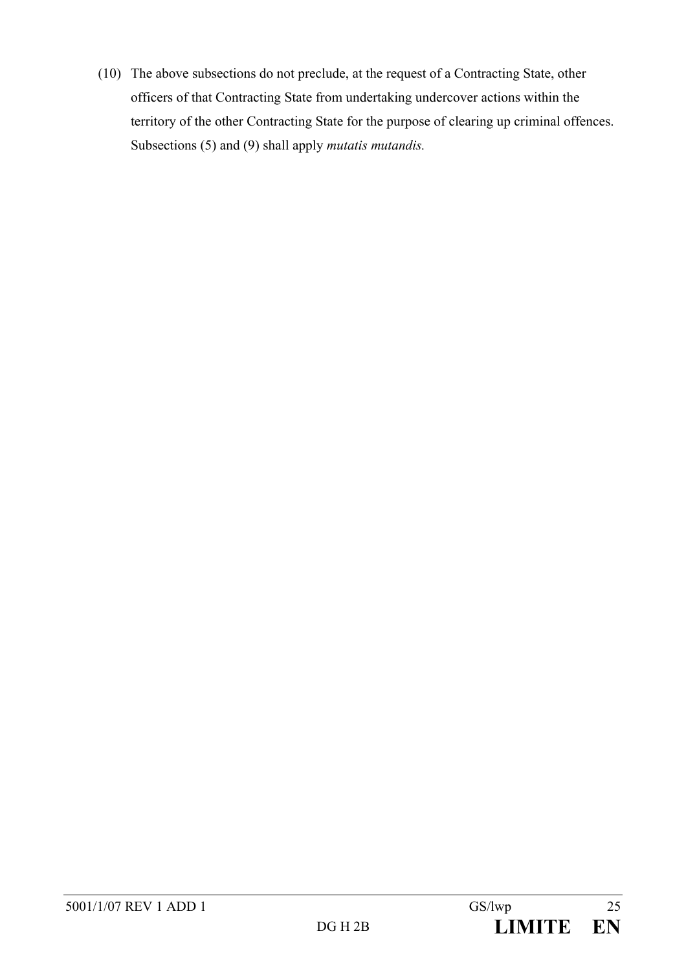(10) The above subsections do not preclude, at the request of a Contracting State, other officers of that Contracting State from undertaking undercover actions within the territory of the other Contracting State for the purpose of clearing up criminal offences. Subsections (5) and (9) shall apply *mutatis mutandis.*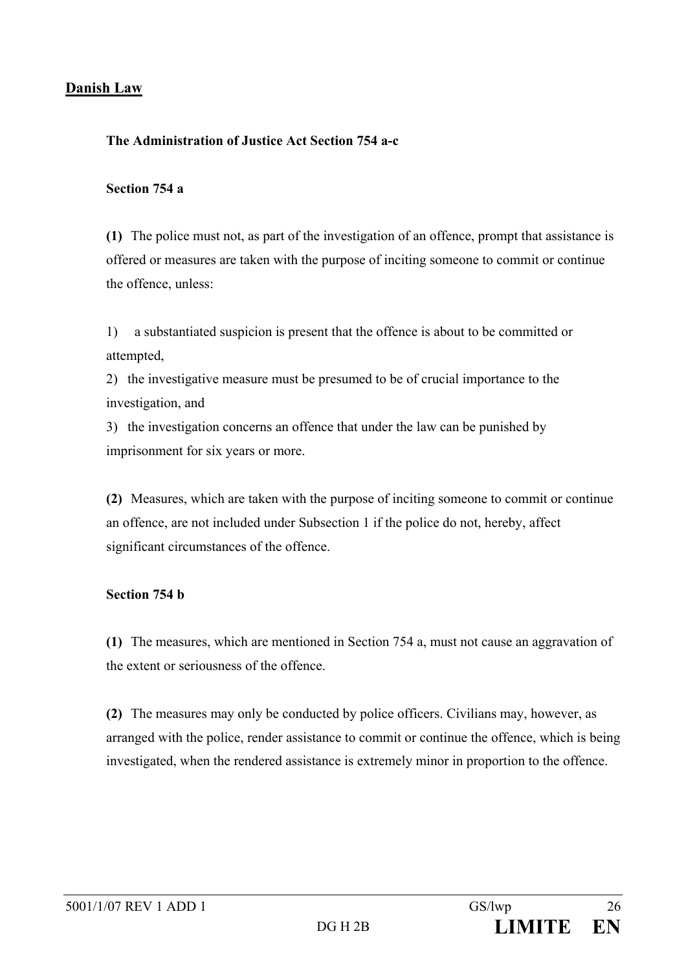## **Danish Law**

#### **The Administration of Justice Act Section 754 a-c**

#### **Section 754 a**

**(1)** The police must not, as part of the investigation of an offence, prompt that assistance is offered or measures are taken with the purpose of inciting someone to commit or continue the offence, unless:

1) a substantiated suspicion is present that the offence is about to be committed or attempted,

2) the investigative measure must be presumed to be of crucial importance to the investigation, and

3) the investigation concerns an offence that under the law can be punished by imprisonment for six years or more.

**(2)** Measures, which are taken with the purpose of inciting someone to commit or continue an offence, are not included under Subsection 1 if the police do not, hereby, affect significant circumstances of the offence.

#### **Section 754 b**

**(1)** The measures, which are mentioned in Section 754 a, must not cause an aggravation of the extent or seriousness of the offence.

**(2)** The measures may only be conducted by police officers. Civilians may, however, as arranged with the police, render assistance to commit or continue the offence, which is being investigated, when the rendered assistance is extremely minor in proportion to the offence.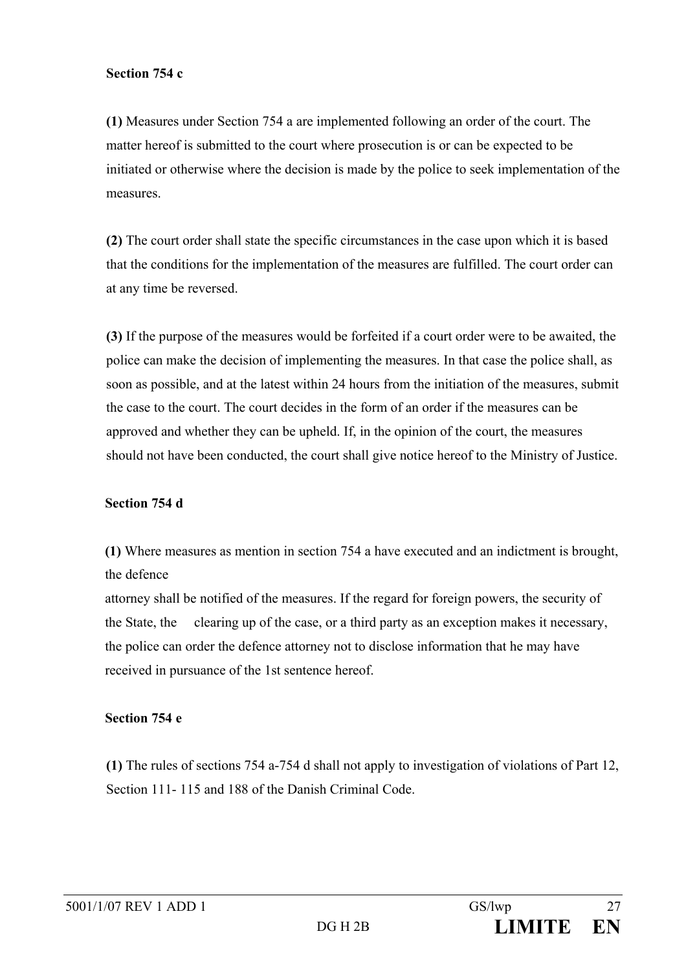#### **Section 754 c**

**(1)** Measures under Section 754 a are implemented following an order of the court. The matter hereof is submitted to the court where prosecution is or can be expected to be initiated or otherwise where the decision is made by the police to seek implementation of the measures.

**(2)** The court order shall state the specific circumstances in the case upon which it is based that the conditions for the implementation of the measures are fulfilled. The court order can at any time be reversed.

**(3)** If the purpose of the measures would be forfeited if a court order were to be awaited, the police can make the decision of implementing the measures. In that case the police shall, as soon as possible, and at the latest within 24 hours from the initiation of the measures, submit the case to the court. The court decides in the form of an order if the measures can be approved and whether they can be upheld. If, in the opinion of the court, the measures should not have been conducted, the court shall give notice hereof to the Ministry of Justice.

## **Section 754 d**

**(1)** Where measures as mention in section 754 a have executed and an indictment is brought, the defence

attorney shall be notified of the measures. If the regard for foreign powers, the security of the State, the clearing up of the case, or a third party as an exception makes it necessary, the police can order the defence attorney not to disclose information that he may have received in pursuance of the 1st sentence hereof.

## **Section 754 e**

**(1)** The rules of sections 754 a-754 d shall not apply to investigation of violations of Part 12, Section 111- 115 and 188 of the Danish Criminal Code.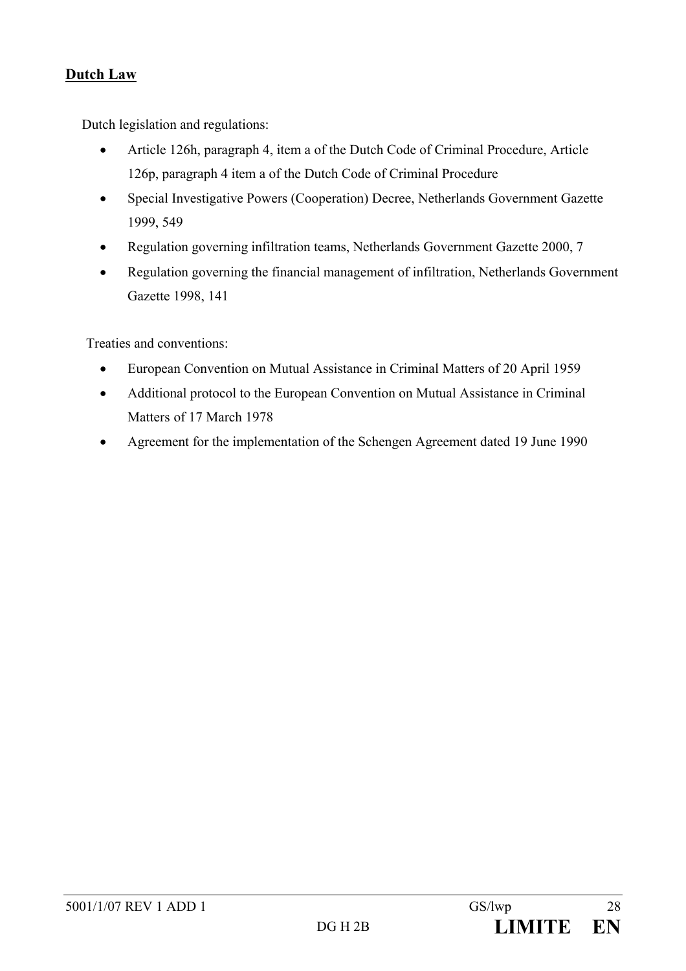# **Dutch Law**

Dutch legislation and regulations:

- Article 126h, paragraph 4, item a of the Dutch Code of Criminal Procedure, Article 126p, paragraph 4 item a of the Dutch Code of Criminal Procedure
- Special Investigative Powers (Cooperation) Decree, Netherlands Government Gazette 1999, 549
- Regulation governing infiltration teams, Netherlands Government Gazette 2000, 7
- Regulation governing the financial management of infiltration, Netherlands Government Gazette 1998, 141

Treaties and conventions:

- European Convention on Mutual Assistance in Criminal Matters of 20 April 1959
- Additional protocol to the European Convention on Mutual Assistance in Criminal Matters of 17 March 1978
- Agreement for the implementation of the Schengen Agreement dated 19 June 1990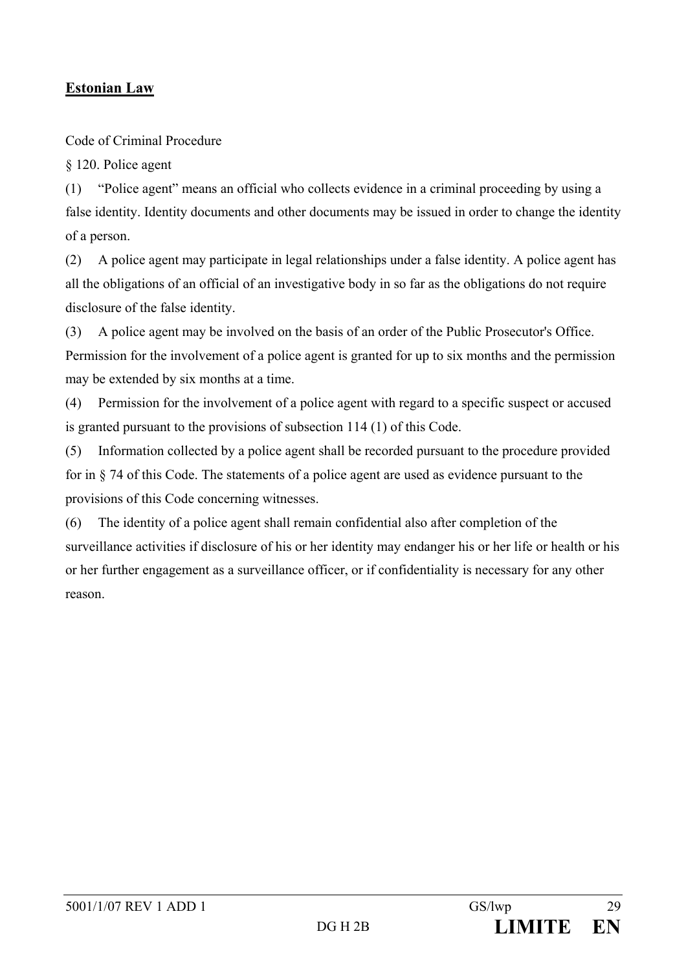# **Estonian Law**

Code of Criminal Procedure

§ 120. Police agent

(1) "Police agent" means an official who collects evidence in a criminal proceeding by using a false identity. Identity documents and other documents may be issued in order to change the identity of a person.

(2) A police agent may participate in legal relationships under a false identity. A police agent has all the obligations of an official of an investigative body in so far as the obligations do not require disclosure of the false identity.

(3) A police agent may be involved on the basis of an order of the Public Prosecutor's Office. Permission for the involvement of a police agent is granted for up to six months and the permission may be extended by six months at a time.

(4) Permission for the involvement of a police agent with regard to a specific suspect or accused is granted pursuant to the provisions of subsection 114 (1) of this Code.

(5) Information collected by a police agent shall be recorded pursuant to the procedure provided for in § 74 of this Code. The statements of a police agent are used as evidence pursuant to the provisions of this Code concerning witnesses.

(6) The identity of a police agent shall remain confidential also after completion of the surveillance activities if disclosure of his or her identity may endanger his or her life or health or his or her further engagement as a surveillance officer, or if confidentiality is necessary for any other reason.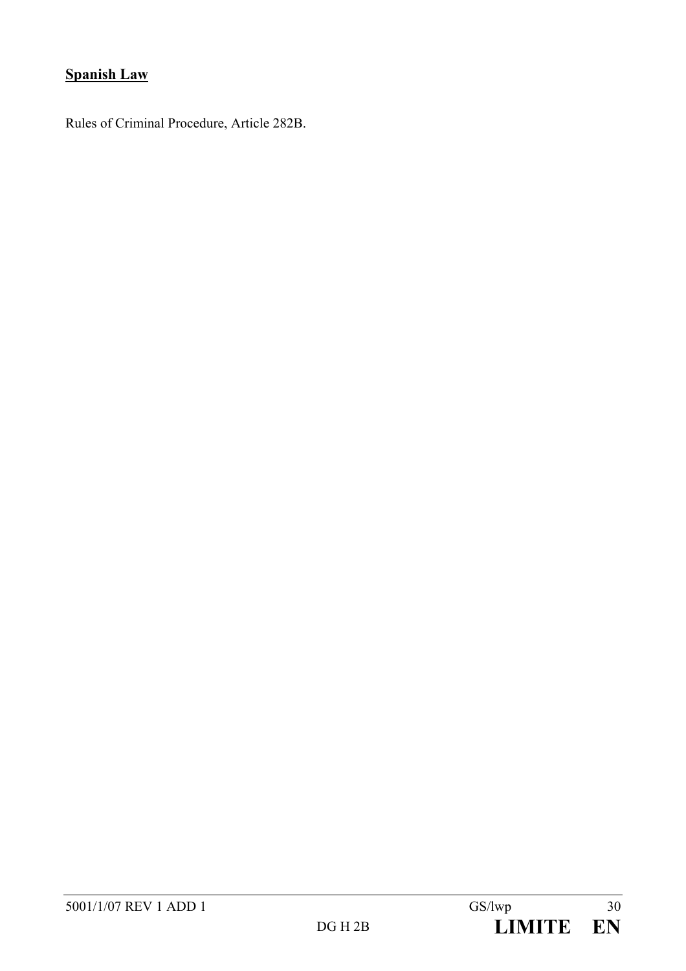# **Spanish Law**

Rules of Criminal Procedure, Article 282B.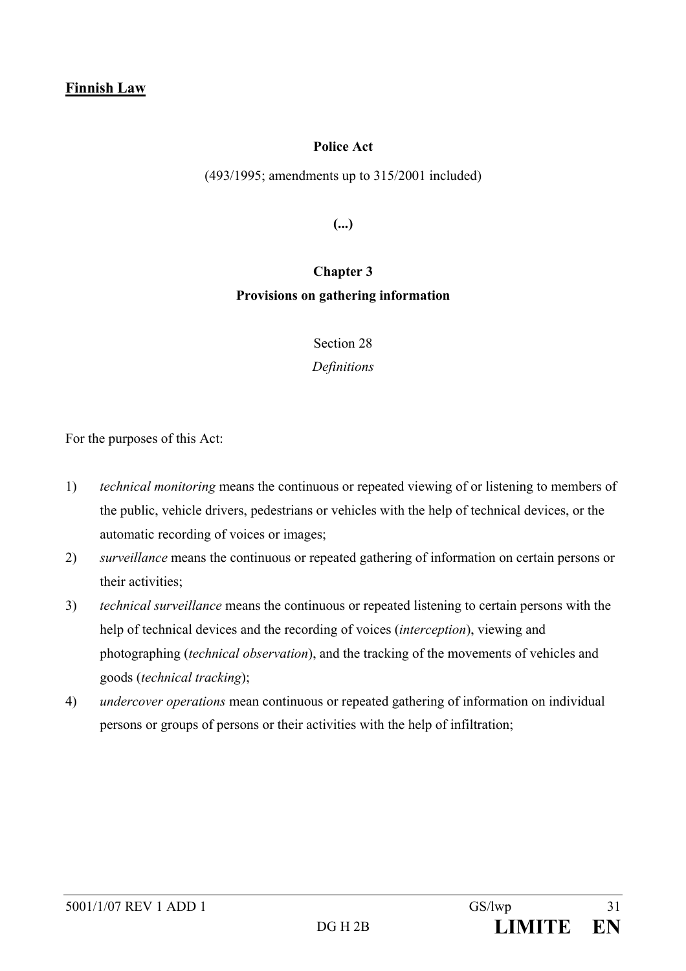### **Police Act**

(493/1995; amendments up to 315/2001 included)

**(...)** 

# **Chapter 3 Provisions on gathering information**

Section 28

*Definitions* 

For the purposes of this Act:

- 1) *technical monitoring* means the continuous or repeated viewing of or listening to members of the public, vehicle drivers, pedestrians or vehicles with the help of technical devices, or the automatic recording of voices or images;
- 2) *surveillance* means the continuous or repeated gathering of information on certain persons or their activities;
- 3) *technical surveillance* means the continuous or repeated listening to certain persons with the help of technical devices and the recording of voices (*interception*), viewing and photographing (*technical observation*), and the tracking of the movements of vehicles and goods (*technical tracking*);
- 4) *undercover operations* mean continuous or repeated gathering of information on individual persons or groups of persons or their activities with the help of infiltration;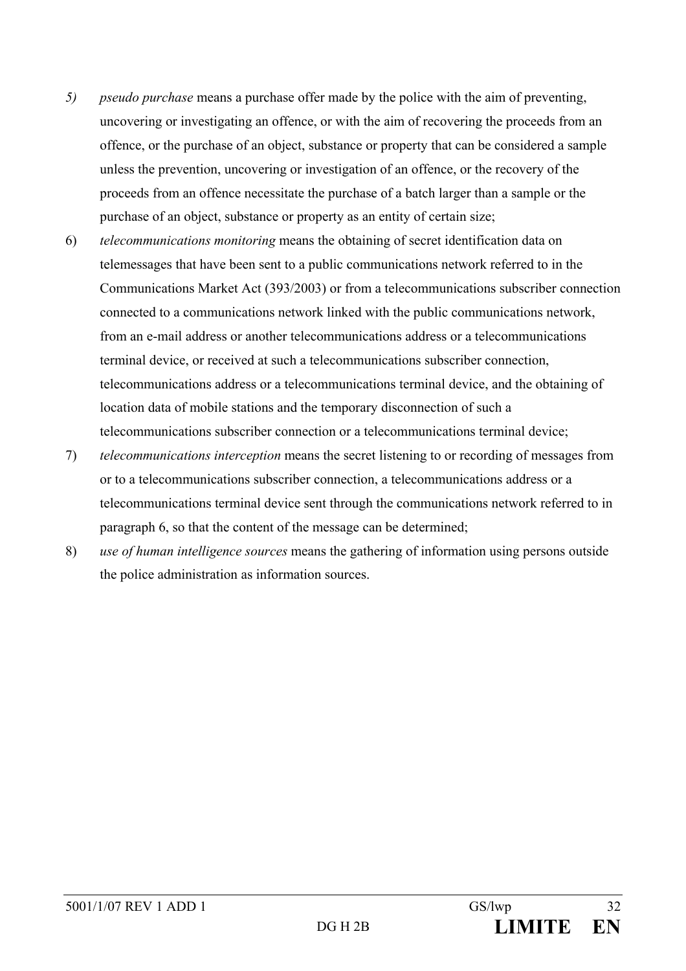- *5) pseudo purchase* means a purchase offer made by the police with the aim of preventing, uncovering or investigating an offence, or with the aim of recovering the proceeds from an offence, or the purchase of an object, substance or property that can be considered a sample unless the prevention, uncovering or investigation of an offence, or the recovery of the proceeds from an offence necessitate the purchase of a batch larger than a sample or the purchase of an object, substance or property as an entity of certain size;
- 6) *telecommunications monitoring* means the obtaining of secret identification data on telemessages that have been sent to a public communications network referred to in the Communications Market Act (393/2003) or from a telecommunications subscriber connection connected to a communications network linked with the public communications network, from an e-mail address or another telecommunications address or a telecommunications terminal device, or received at such a telecommunications subscriber connection, telecommunications address or a telecommunications terminal device, and the obtaining of location data of mobile stations and the temporary disconnection of such a telecommunications subscriber connection or a telecommunications terminal device;
- 7) *telecommunications interception* means the secret listening to or recording of messages from or to a telecommunications subscriber connection, a telecommunications address or a telecommunications terminal device sent through the communications network referred to in paragraph 6, so that the content of the message can be determined;
- 8) *use of human intelligence sources* means the gathering of information using persons outside the police administration as information sources.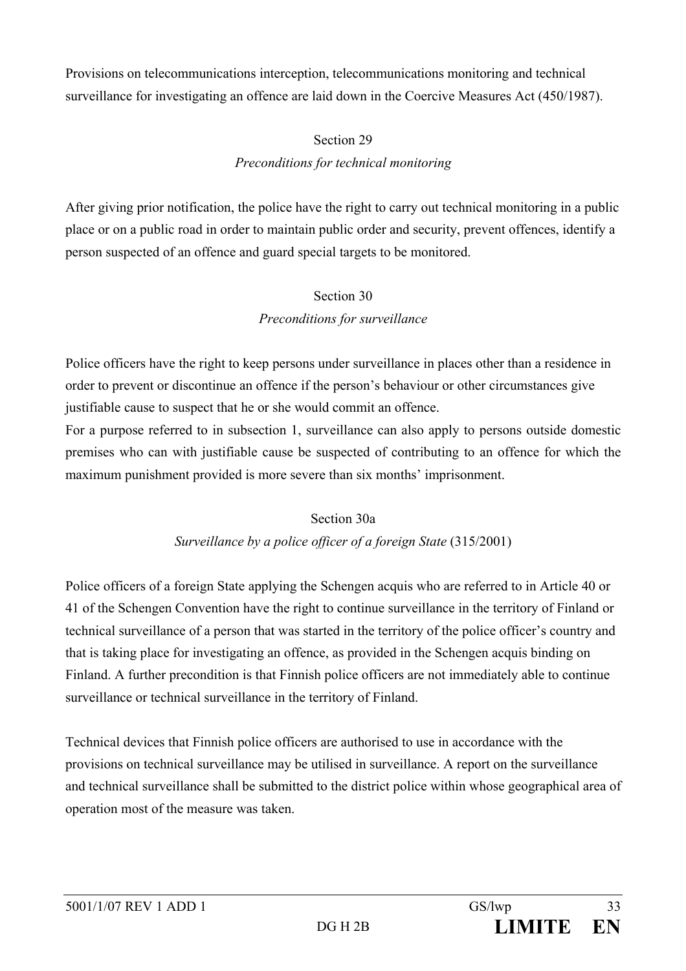Provisions on telecommunications interception, telecommunications monitoring and technical surveillance for investigating an offence are laid down in the Coercive Measures Act (450/1987).

# Section 29 *Preconditions for technical monitoring*

After giving prior notification, the police have the right to carry out technical monitoring in a public place or on a public road in order to maintain public order and security, prevent offences, identify a person suspected of an offence and guard special targets to be monitored.

# Section 30 *Preconditions for surveillance*

Police officers have the right to keep persons under surveillance in places other than a residence in order to prevent or discontinue an offence if the person's behaviour or other circumstances give justifiable cause to suspect that he or she would commit an offence.

For a purpose referred to in subsection 1, surveillance can also apply to persons outside domestic premises who can with justifiable cause be suspected of contributing to an offence for which the maximum punishment provided is more severe than six months' imprisonment.

## Section 30a

# *Surveillance by a police officer of a foreign State* (315/2001)

Police officers of a foreign State applying the Schengen acquis who are referred to in Article 40 or 41 of the Schengen Convention have the right to continue surveillance in the territory of Finland or technical surveillance of a person that was started in the territory of the police officer's country and that is taking place for investigating an offence, as provided in the Schengen acquis binding on Finland. A further precondition is that Finnish police officers are not immediately able to continue surveillance or technical surveillance in the territory of Finland.

Technical devices that Finnish police officers are authorised to use in accordance with the provisions on technical surveillance may be utilised in surveillance. A report on the surveillance and technical surveillance shall be submitted to the district police within whose geographical area of operation most of the measure was taken.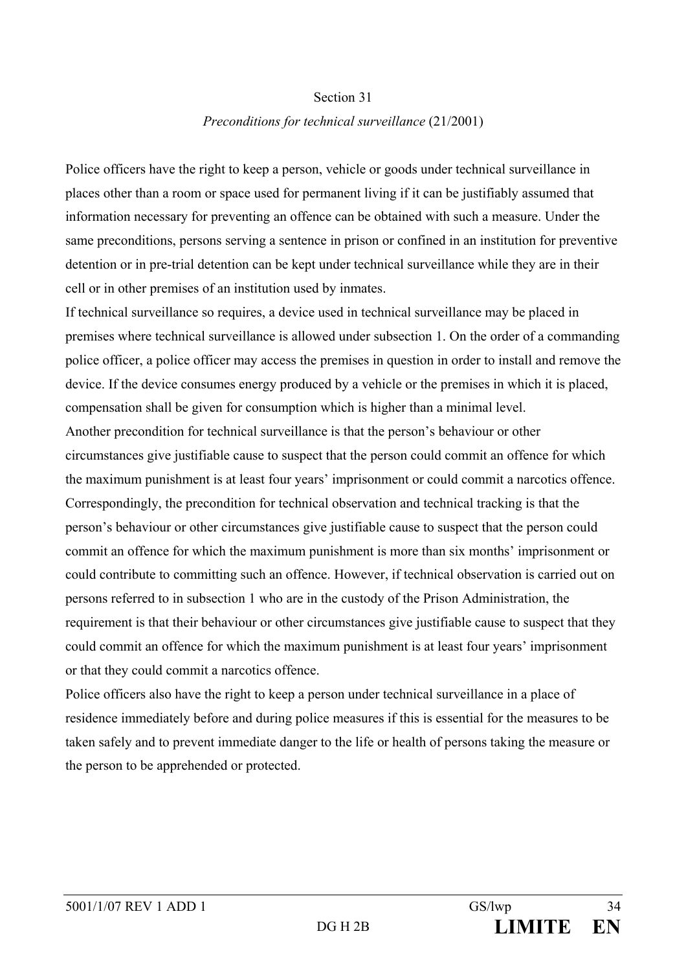#### Section 31

#### *Preconditions for technical surveillance* (21/2001)

Police officers have the right to keep a person, vehicle or goods under technical surveillance in places other than a room or space used for permanent living if it can be justifiably assumed that information necessary for preventing an offence can be obtained with such a measure. Under the same preconditions, persons serving a sentence in prison or confined in an institution for preventive detention or in pre-trial detention can be kept under technical surveillance while they are in their cell or in other premises of an institution used by inmates.

If technical surveillance so requires, a device used in technical surveillance may be placed in premises where technical surveillance is allowed under subsection 1. On the order of a commanding police officer, a police officer may access the premises in question in order to install and remove the device. If the device consumes energy produced by a vehicle or the premises in which it is placed, compensation shall be given for consumption which is higher than a minimal level. Another precondition for technical surveillance is that the person's behaviour or other circumstances give justifiable cause to suspect that the person could commit an offence for which the maximum punishment is at least four years' imprisonment or could commit a narcotics offence. Correspondingly, the precondition for technical observation and technical tracking is that the person's behaviour or other circumstances give justifiable cause to suspect that the person could commit an offence for which the maximum punishment is more than six months' imprisonment or could contribute to committing such an offence. However, if technical observation is carried out on persons referred to in subsection 1 who are in the custody of the Prison Administration, the requirement is that their behaviour or other circumstances give justifiable cause to suspect that they could commit an offence for which the maximum punishment is at least four years' imprisonment or that they could commit a narcotics offence.

Police officers also have the right to keep a person under technical surveillance in a place of residence immediately before and during police measures if this is essential for the measures to be taken safely and to prevent immediate danger to the life or health of persons taking the measure or the person to be apprehended or protected.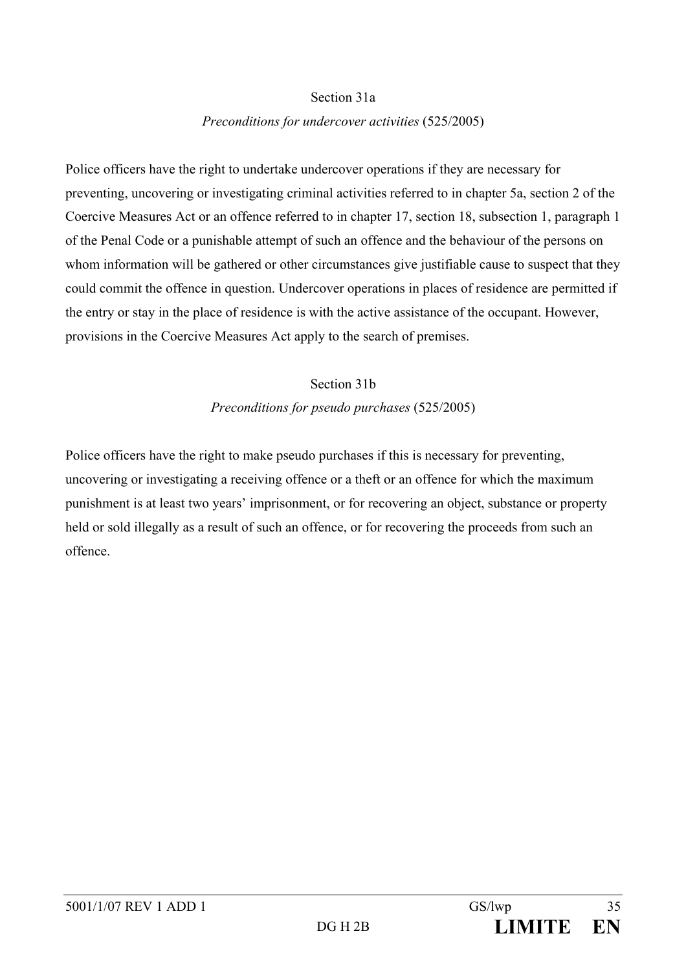#### Section 31a

#### *Preconditions for undercover activities* (525/2005)

Police officers have the right to undertake undercover operations if they are necessary for preventing, uncovering or investigating criminal activities referred to in chapter 5a, section 2 of the Coercive Measures Act or an offence referred to in chapter 17, section 18, subsection 1, paragraph 1 of the Penal Code or a punishable attempt of such an offence and the behaviour of the persons on whom information will be gathered or other circumstances give justifiable cause to suspect that they could commit the offence in question. Undercover operations in places of residence are permitted if the entry or stay in the place of residence is with the active assistance of the occupant. However, provisions in the Coercive Measures Act apply to the search of premises.

# Section 31b *Preconditions for pseudo purchases* (525/2005)

Police officers have the right to make pseudo purchases if this is necessary for preventing, uncovering or investigating a receiving offence or a theft or an offence for which the maximum punishment is at least two years' imprisonment, or for recovering an object, substance or property held or sold illegally as a result of such an offence, or for recovering the proceeds from such an offence.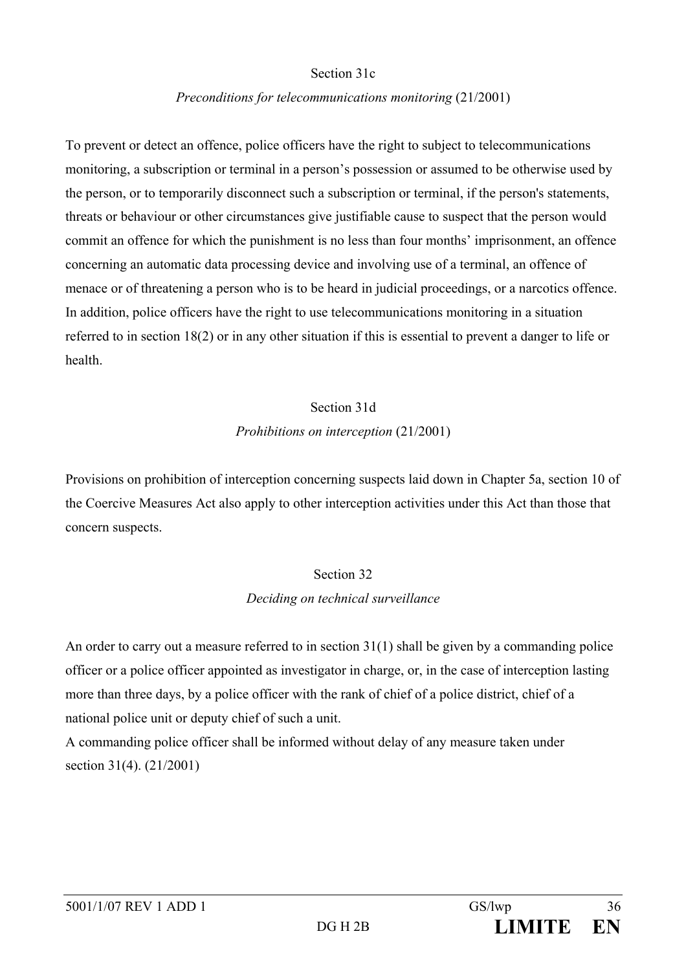#### Section 31c

#### *Preconditions for telecommunications monitoring* (21/2001)

To prevent or detect an offence, police officers have the right to subject to telecommunications monitoring, a subscription or terminal in a person's possession or assumed to be otherwise used by the person, or to temporarily disconnect such a subscription or terminal, if the person's statements, threats or behaviour or other circumstances give justifiable cause to suspect that the person would commit an offence for which the punishment is no less than four months' imprisonment, an offence concerning an automatic data processing device and involving use of a terminal, an offence of menace or of threatening a person who is to be heard in judicial proceedings, or a narcotics offence. In addition, police officers have the right to use telecommunications monitoring in a situation referred to in section 18(2) or in any other situation if this is essential to prevent a danger to life or health.

# Section 31d *Prohibitions on interception* (21/2001)

Provisions on prohibition of interception concerning suspects laid down in Chapter 5a, section 10 of the Coercive Measures Act also apply to other interception activities under this Act than those that concern suspects.

## Section 32

## *Deciding on technical surveillance*

An order to carry out a measure referred to in section 31(1) shall be given by a commanding police officer or a police officer appointed as investigator in charge, or, in the case of interception lasting more than three days, by a police officer with the rank of chief of a police district, chief of a national police unit or deputy chief of such a unit.

A commanding police officer shall be informed without delay of any measure taken under section 31(4). (21/2001)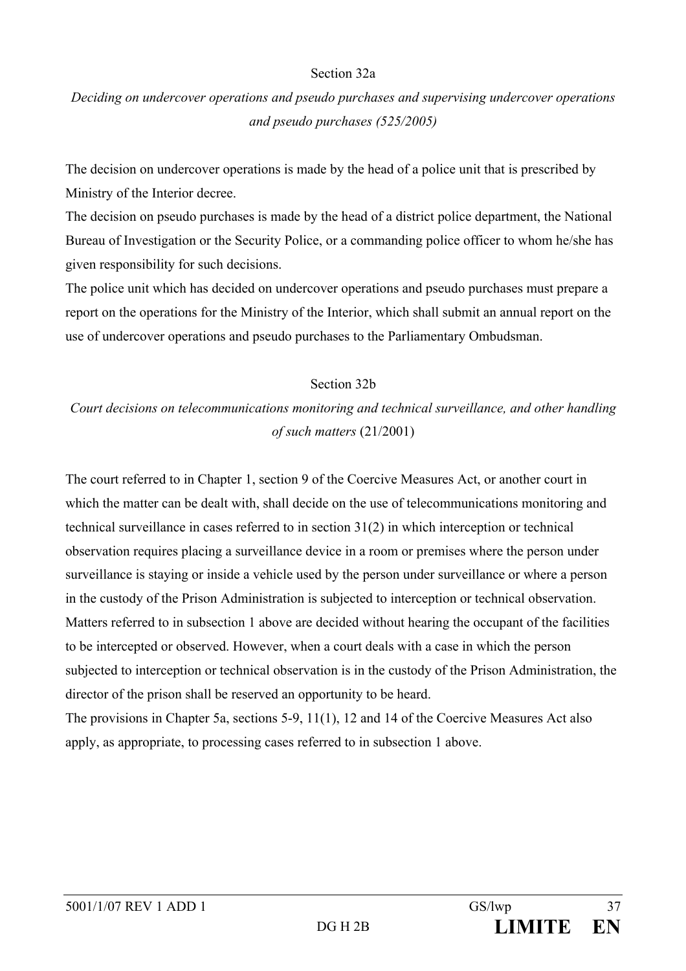#### Section 32a

# *Deciding on undercover operations and pseudo purchases and supervising undercover operations and pseudo purchases (525/2005)*

The decision on undercover operations is made by the head of a police unit that is prescribed by Ministry of the Interior decree.

The decision on pseudo purchases is made by the head of a district police department, the National Bureau of Investigation or the Security Police, or a commanding police officer to whom he/she has given responsibility for such decisions.

The police unit which has decided on undercover operations and pseudo purchases must prepare a report on the operations for the Ministry of the Interior, which shall submit an annual report on the use of undercover operations and pseudo purchases to the Parliamentary Ombudsman.

#### Section 32b

# *Court decisions on telecommunications monitoring and technical surveillance, and other handling of such matters* (21/2001)

The court referred to in Chapter 1, section 9 of the Coercive Measures Act, or another court in which the matter can be dealt with, shall decide on the use of telecommunications monitoring and technical surveillance in cases referred to in section 31(2) in which interception or technical observation requires placing a surveillance device in a room or premises where the person under surveillance is staying or inside a vehicle used by the person under surveillance or where a person in the custody of the Prison Administration is subjected to interception or technical observation. Matters referred to in subsection 1 above are decided without hearing the occupant of the facilities to be intercepted or observed. However, when a court deals with a case in which the person subjected to interception or technical observation is in the custody of the Prison Administration, the director of the prison shall be reserved an opportunity to be heard.

The provisions in Chapter 5a, sections 5-9, 11(1), 12 and 14 of the Coercive Measures Act also apply, as appropriate, to processing cases referred to in subsection 1 above.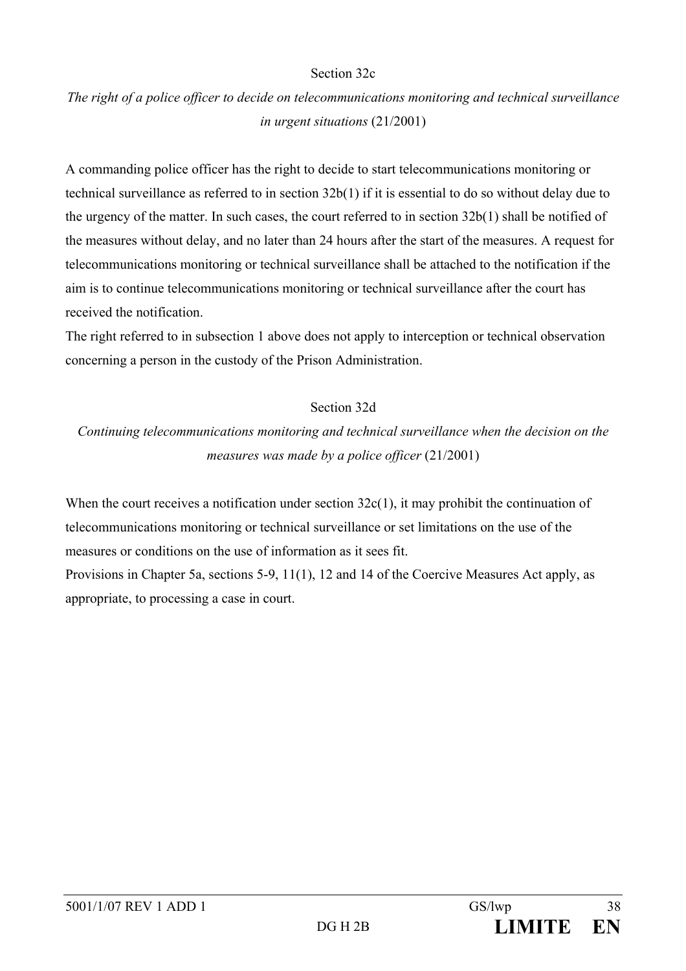#### Section 32c

# *The right of a police officer to decide on telecommunications monitoring and technical surveillance in urgent situations* (21/2001)

A commanding police officer has the right to decide to start telecommunications monitoring or technical surveillance as referred to in section 32b(1) if it is essential to do so without delay due to the urgency of the matter. In such cases, the court referred to in section 32b(1) shall be notified of the measures without delay, and no later than 24 hours after the start of the measures. A request for telecommunications monitoring or technical surveillance shall be attached to the notification if the aim is to continue telecommunications monitoring or technical surveillance after the court has received the notification.

The right referred to in subsection 1 above does not apply to interception or technical observation concerning a person in the custody of the Prison Administration.

## Section 32d

*Continuing telecommunications monitoring and technical surveillance when the decision on the measures was made by a police officer* (21/2001)

When the court receives a notification under section  $32c(1)$ , it may prohibit the continuation of telecommunications monitoring or technical surveillance or set limitations on the use of the measures or conditions on the use of information as it sees fit.

Provisions in Chapter 5a, sections 5-9, 11(1), 12 and 14 of the Coercive Measures Act apply, as appropriate, to processing a case in court.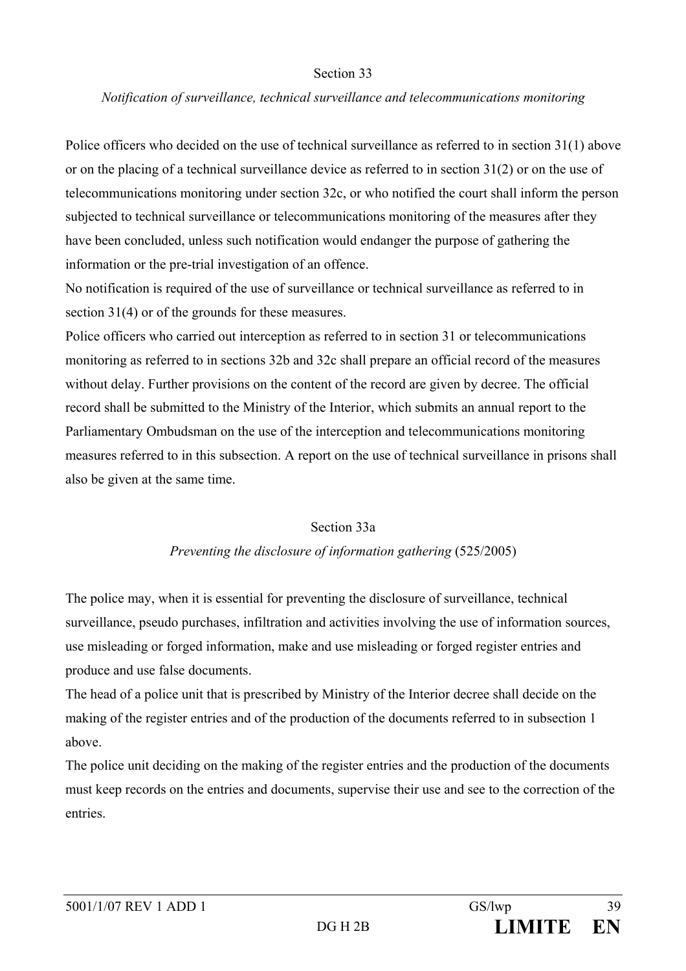#### Section 33

#### *Notification of surveillance, technical surveillance and telecommunications monitoring*

Police officers who decided on the use of technical surveillance as referred to in section 31(1) above or on the placing of a technical surveillance device as referred to in section 31(2) or on the use of telecommunications monitoring under section 32c, or who notified the court shall inform the person subjected to technical surveillance or telecommunications monitoring of the measures after they have been concluded, unless such notification would endanger the purpose of gathering the information or the pre-trial investigation of an offence.

No notification is required of the use of surveillance or technical surveillance as referred to in section 31(4) or of the grounds for these measures.

Police officers who carried out interception as referred to in section 31 or telecommunications monitoring as referred to in sections 32b and 32c shall prepare an official record of the measures without delay. Further provisions on the content of the record are given by decree. The official record shall be submitted to the Ministry of the Interior, which submits an annual report to the Parliamentary Ombudsman on the use of the interception and telecommunications monitoring measures referred to in this subsection. A report on the use of technical surveillance in prisons shall also be given at the same time.

#### Section 33a

#### *Preventing the disclosure of information gathering* (525/2005)

The police may, when it is essential for preventing the disclosure of surveillance, technical surveillance, pseudo purchases, infiltration and activities involving the use of information sources, use misleading or forged information, make and use misleading or forged register entries and produce and use false documents.

The head of a police unit that is prescribed by Ministry of the Interior decree shall decide on the making of the register entries and of the production of the documents referred to in subsection 1 above.

The police unit deciding on the making of the register entries and the production of the documents must keep records on the entries and documents, supervise their use and see to the correction of the entries.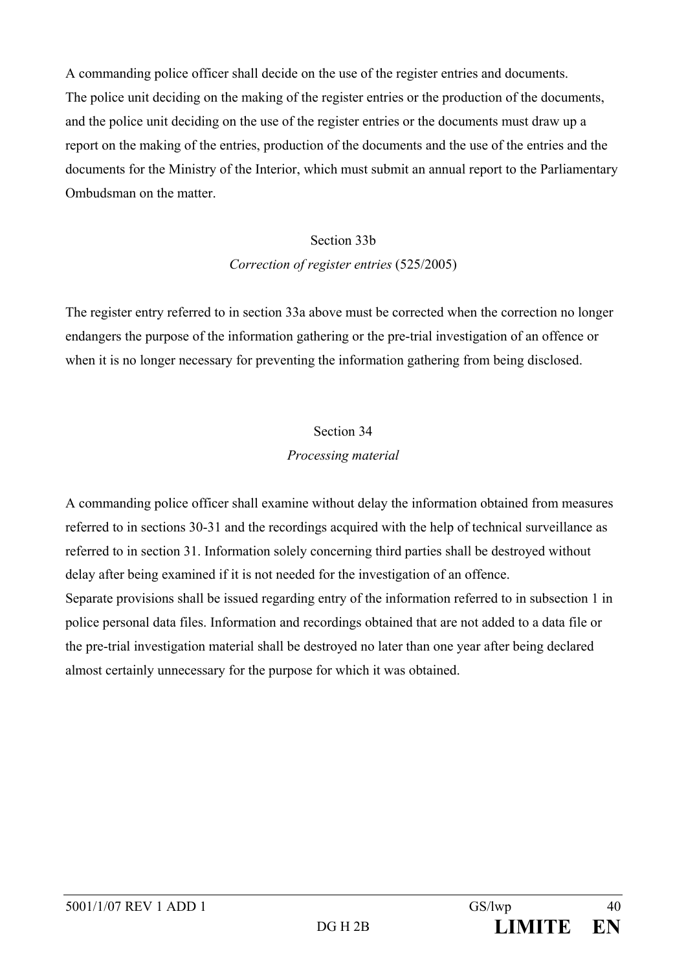A commanding police officer shall decide on the use of the register entries and documents. The police unit deciding on the making of the register entries or the production of the documents, and the police unit deciding on the use of the register entries or the documents must draw up a report on the making of the entries, production of the documents and the use of the entries and the documents for the Ministry of the Interior, which must submit an annual report to the Parliamentary Ombudsman on the matter.

#### Section 33b

#### *Correction of register entries* (525/2005)

The register entry referred to in section 33a above must be corrected when the correction no longer endangers the purpose of the information gathering or the pre-trial investigation of an offence or when it is no longer necessary for preventing the information gathering from being disclosed.

#### Section 34

#### *Processing material*

A commanding police officer shall examine without delay the information obtained from measures referred to in sections 30-31 and the recordings acquired with the help of technical surveillance as referred to in section 31. Information solely concerning third parties shall be destroyed without delay after being examined if it is not needed for the investigation of an offence. Separate provisions shall be issued regarding entry of the information referred to in subsection 1 in police personal data files. Information and recordings obtained that are not added to a data file or the pre-trial investigation material shall be destroyed no later than one year after being declared almost certainly unnecessary for the purpose for which it was obtained.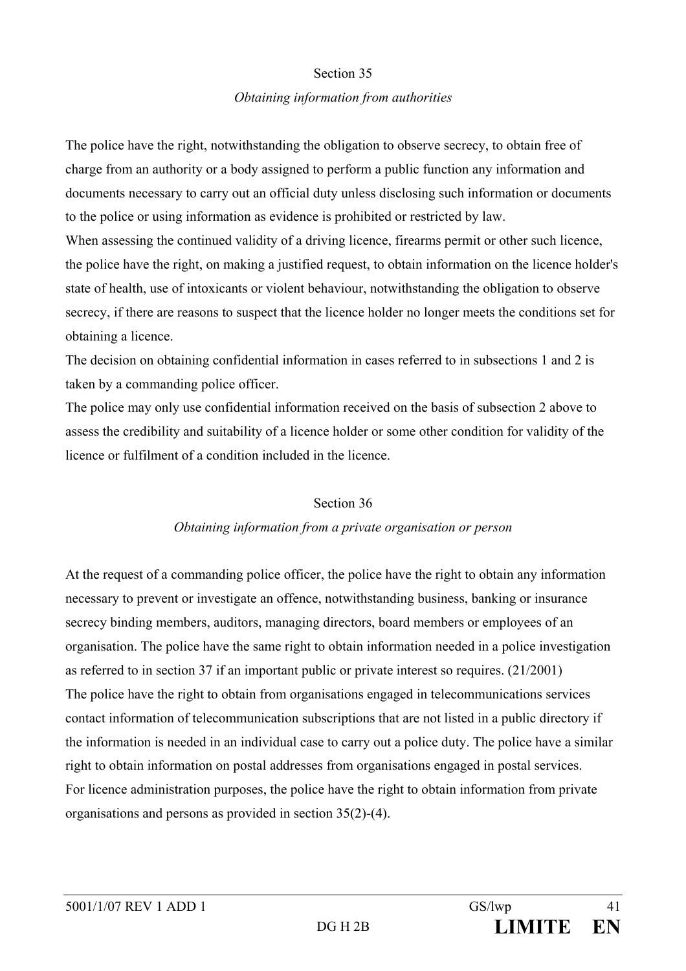#### Section 35

### *Obtaining information from authorities*

The police have the right, notwithstanding the obligation to observe secrecy, to obtain free of charge from an authority or a body assigned to perform a public function any information and documents necessary to carry out an official duty unless disclosing such information or documents to the police or using information as evidence is prohibited or restricted by law. When assessing the continued validity of a driving licence, firearms permit or other such licence, the police have the right, on making a justified request, to obtain information on the licence holder's state of health, use of intoxicants or violent behaviour, notwithstanding the obligation to observe secrecy, if there are reasons to suspect that the licence holder no longer meets the conditions set for obtaining a licence.

The decision on obtaining confidential information in cases referred to in subsections 1 and 2 is taken by a commanding police officer.

The police may only use confidential information received on the basis of subsection 2 above to assess the credibility and suitability of a licence holder or some other condition for validity of the licence or fulfilment of a condition included in the licence.

## Section 36

## *Obtaining information from a private organisation or person*

At the request of a commanding police officer, the police have the right to obtain any information necessary to prevent or investigate an offence, notwithstanding business, banking or insurance secrecy binding members, auditors, managing directors, board members or employees of an organisation. The police have the same right to obtain information needed in a police investigation as referred to in section 37 if an important public or private interest so requires. (21/2001) The police have the right to obtain from organisations engaged in telecommunications services contact information of telecommunication subscriptions that are not listed in a public directory if the information is needed in an individual case to carry out a police duty. The police have a similar right to obtain information on postal addresses from organisations engaged in postal services. For licence administration purposes, the police have the right to obtain information from private organisations and persons as provided in section 35(2)-(4).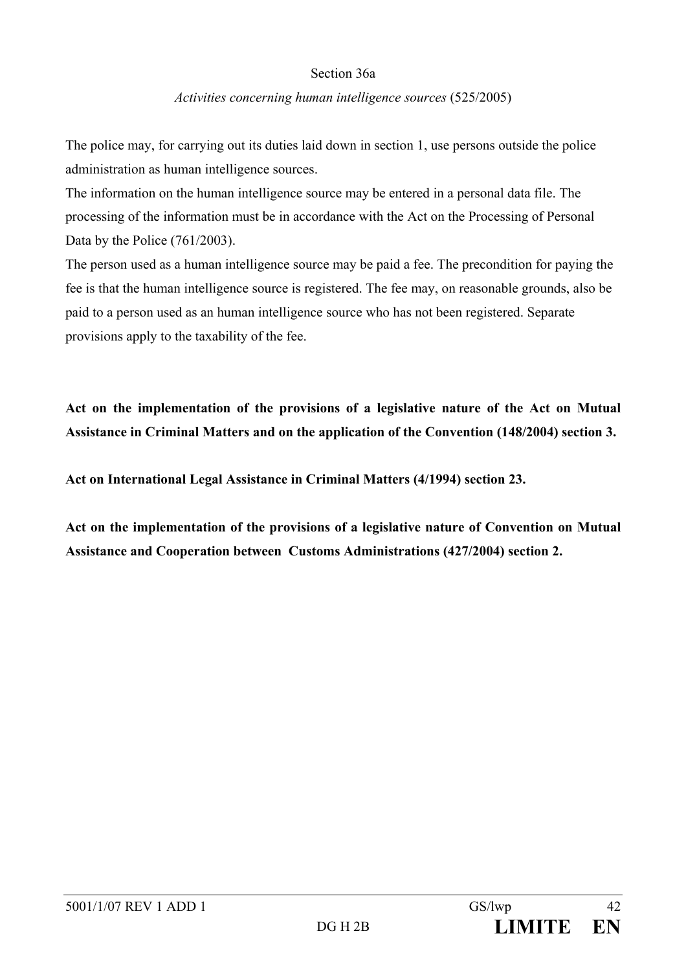### Section 36a

#### *Activities concerning human intelligence sources* (525/2005)

The police may, for carrying out its duties laid down in section 1, use persons outside the police administration as human intelligence sources.

The information on the human intelligence source may be entered in a personal data file. The processing of the information must be in accordance with the Act on the Processing of Personal Data by the Police (761/2003).

The person used as a human intelligence source may be paid a fee. The precondition for paying the fee is that the human intelligence source is registered. The fee may, on reasonable grounds, also be paid to a person used as an human intelligence source who has not been registered. Separate provisions apply to the taxability of the fee.

**Act on the implementation of the provisions of a legislative nature of the Act on Mutual Assistance in Criminal Matters and on the application of the Convention (148/2004) section 3.** 

**Act on International Legal Assistance in Criminal Matters (4/1994) section 23.** 

**Act on the implementation of the provisions of a legislative nature of Convention on Mutual Assistance and Cooperation between Customs Administrations (427/2004) section 2.**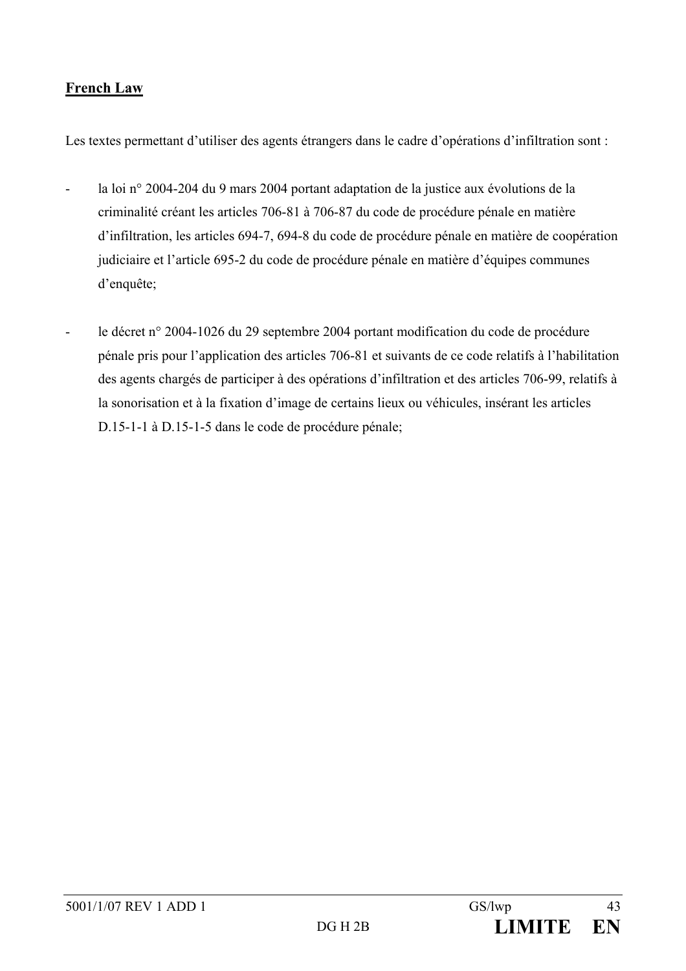# **French Law**

Les textes permettant d'utiliser des agents étrangers dans le cadre d'opérations d'infiltration sont :

- la loi n° 2004-204 du 9 mars 2004 portant adaptation de la justice aux évolutions de la criminalité créant les articles 706-81 à 706-87 du code de procédure pénale en matière d'infiltration, les articles 694-7, 694-8 du code de procédure pénale en matière de coopération judiciaire et l'article 695-2 du code de procédure pénale en matière d'équipes communes d'enquête;
- le décret n° 2004-1026 du 29 septembre 2004 portant modification du code de procédure pénale pris pour l'application des articles 706-81 et suivants de ce code relatifs à l'habilitation des agents chargés de participer à des opérations d'infiltration et des articles 706-99, relatifs à la sonorisation et à la fixation d'image de certains lieux ou véhicules, insérant les articles D.15-1-1 à D.15-1-5 dans le code de procédure pénale;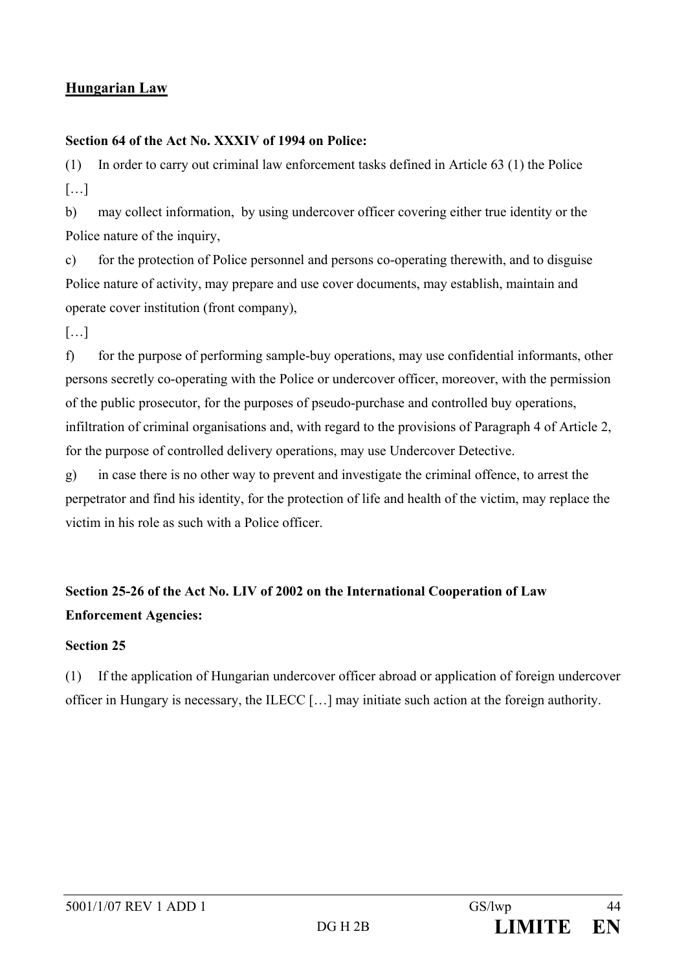# **Hungarian Law**

# **Section 64 of the Act No. XXXIV of 1994 on Police:**

(1) In order to carry out criminal law enforcement tasks defined in Article 63 (1) the Police […]

b) may collect information, by using undercover officer covering either true identity or the Police nature of the inquiry,

c) for the protection of Police personnel and persons co-operating therewith, and to disguise Police nature of activity, may prepare and use cover documents, may establish, maintain and operate cover institution (front company),

[…]

f) for the purpose of performing sample-buy operations, may use confidential informants, other persons secretly co-operating with the Police or undercover officer, moreover, with the permission of the public prosecutor, for the purposes of pseudo-purchase and controlled buy operations, infiltration of criminal organisations and, with regard to the provisions of Paragraph 4 of Article 2, for the purpose of controlled delivery operations, may use Undercover Detective.

g) in case there is no other way to prevent and investigate the criminal offence, to arrest the perpetrator and find his identity, for the protection of life and health of the victim, may replace the victim in his role as such with a Police officer.

# **Section 25-26 of the Act No. LIV of 2002 on the International Cooperation of Law Enforcement Agencies:**

## **Section 25**

(1) If the application of Hungarian undercover officer abroad or application of foreign undercover officer in Hungary is necessary, the ILECC […] may initiate such action at the foreign authority.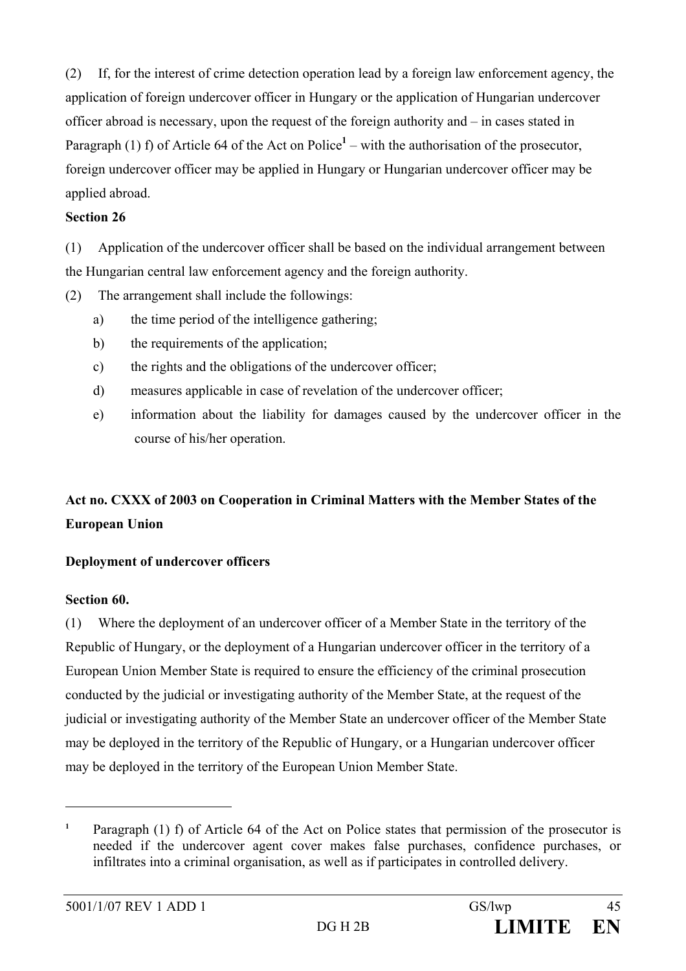(2) If, for the interest of crime detection operation lead by a foreign law enforcement agency, the application of foreign undercover officer in Hungary or the application of Hungarian undercover officer abroad is necessary, upon the request of the foreign authority and – in cases stated in Paragraph (1) f) of Article 64 of the Act on Police<sup>1</sup> – with the authorisation of the prosecutor, foreign undercover officer may be applied in Hungary or Hungarian undercover officer may be applied abroad.

### **Section 26**

(1) Application of the undercover officer shall be based on the individual arrangement between the Hungarian central law enforcement agency and the foreign authority.

(2) The arrangement shall include the followings:

- a) the time period of the intelligence gathering;
- b) the requirements of the application;
- c) the rights and the obligations of the undercover officer;
- d) measures applicable in case of revelation of the undercover officer;
- e) information about the liability for damages caused by the undercover officer in the course of his/her operation.

# **Act no. CXXX of 2003 on Cooperation in Criminal Matters with the Member States of the European Union**

## **Deployment of undercover officers**

## **Section 60.**

 $\overline{a}$ 

(1) Where the deployment of an undercover officer of a Member State in the territory of the Republic of Hungary, or the deployment of a Hungarian undercover officer in the territory of a European Union Member State is required to ensure the efficiency of the criminal prosecution conducted by the judicial or investigating authority of the Member State, at the request of the judicial or investigating authority of the Member State an undercover officer of the Member State may be deployed in the territory of the Republic of Hungary, or a Hungarian undercover officer may be deployed in the territory of the European Union Member State.

**<sup>1</sup>** Paragraph (1) f) of Article 64 of the Act on Police states that permission of the prosecutor is needed if the undercover agent cover makes false purchases, confidence purchases, or infiltrates into a criminal organisation, as well as if participates in controlled delivery.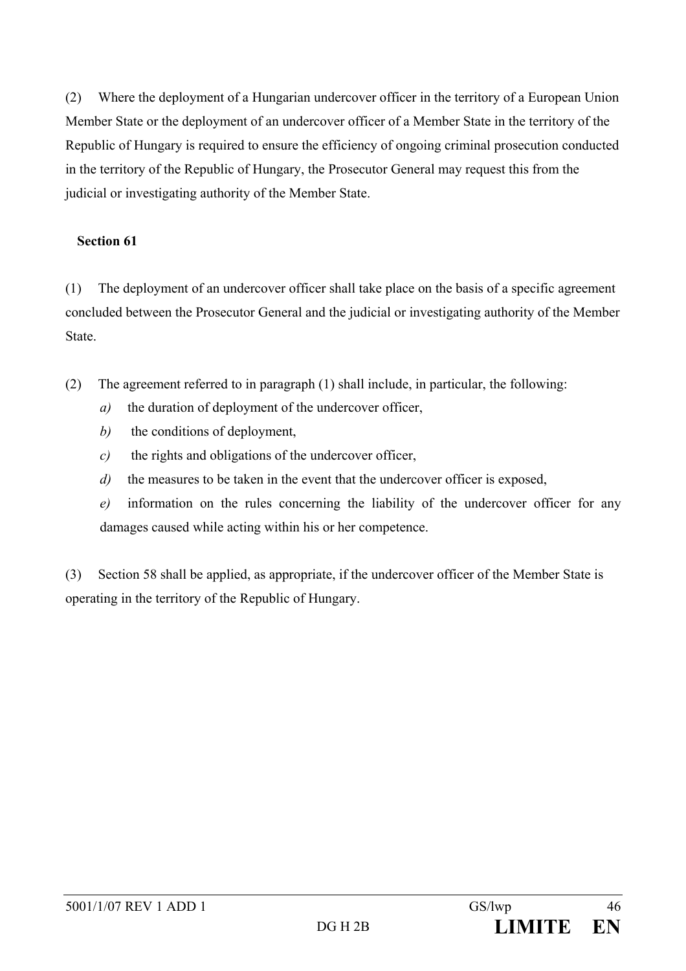(2) Where the deployment of a Hungarian undercover officer in the territory of a European Union Member State or the deployment of an undercover officer of a Member State in the territory of the Republic of Hungary is required to ensure the efficiency of ongoing criminal prosecution conducted in the territory of the Republic of Hungary, the Prosecutor General may request this from the judicial or investigating authority of the Member State.

## **Section 61**

(1) The deployment of an undercover officer shall take place on the basis of a specific agreement concluded between the Prosecutor General and the judicial or investigating authority of the Member State.

- (2) The agreement referred to in paragraph (1) shall include, in particular, the following:
	- *a)* the duration of deployment of the undercover officer,
	- *b*) the conditions of deployment,
	- *c)* the rights and obligations of the undercover officer,
	- *d)* the measures to be taken in the event that the undercover officer is exposed,
	- *e)* information on the rules concerning the liability of the undercover officer for any damages caused while acting within his or her competence.

(3) Section 58 shall be applied, as appropriate, if the undercover officer of the Member State is operating in the territory of the Republic of Hungary.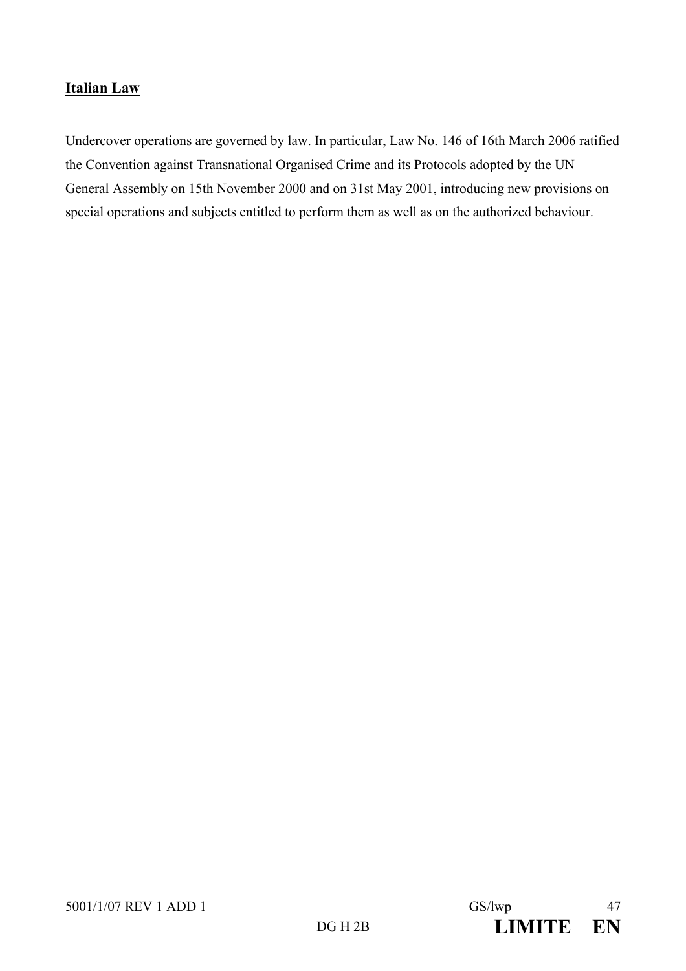# **Italian Law**

Undercover operations are governed by law. In particular, Law No. 146 of 16th March 2006 ratified the Convention against Transnational Organised Crime and its Protocols adopted by the UN General Assembly on 15th November 2000 and on 31st May 2001, introducing new provisions on special operations and subjects entitled to perform them as well as on the authorized behaviour.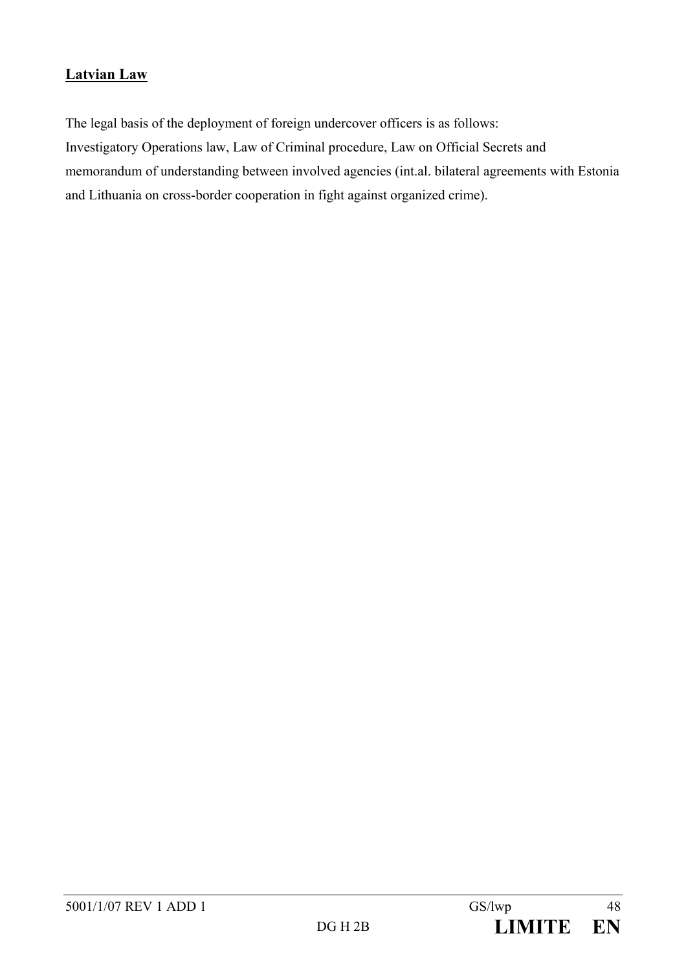# **Latvian Law**

The legal basis of the deployment of foreign undercover officers is as follows: Investigatory Operations law, Law of Criminal procedure, Law on Official Secrets and memorandum of understanding between involved agencies (int.al. bilateral agreements with Estonia and Lithuania on cross-border cooperation in fight against organized crime).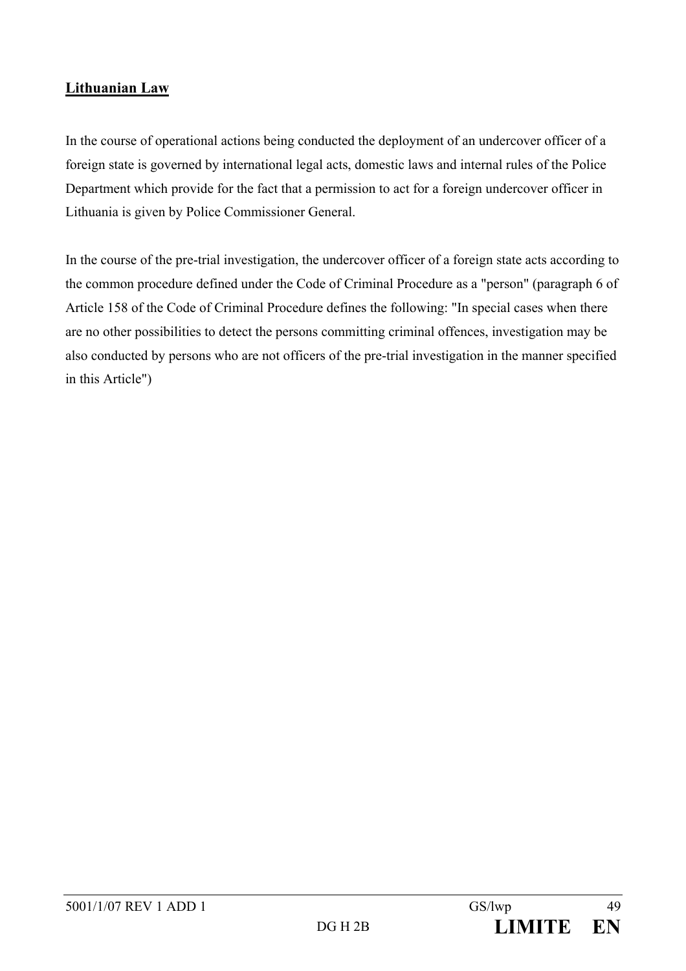# **Lithuanian Law**

In the course of operational actions being conducted the deployment of an undercover officer of a foreign state is governed by international legal acts, domestic laws and internal rules of the Police Department which provide for the fact that a permission to act for a foreign undercover officer in Lithuania is given by Police Commissioner General.

In the course of the pre-trial investigation, the undercover officer of a foreign state acts according to the common procedure defined under the Code of Criminal Procedure as a "person" (paragraph 6 of Article 158 of the Code of Criminal Procedure defines the following: "In special cases when there are no other possibilities to detect the persons committing criminal offences, investigation may be also conducted by persons who are not officers of the pre-trial investigation in the manner specified in this Article")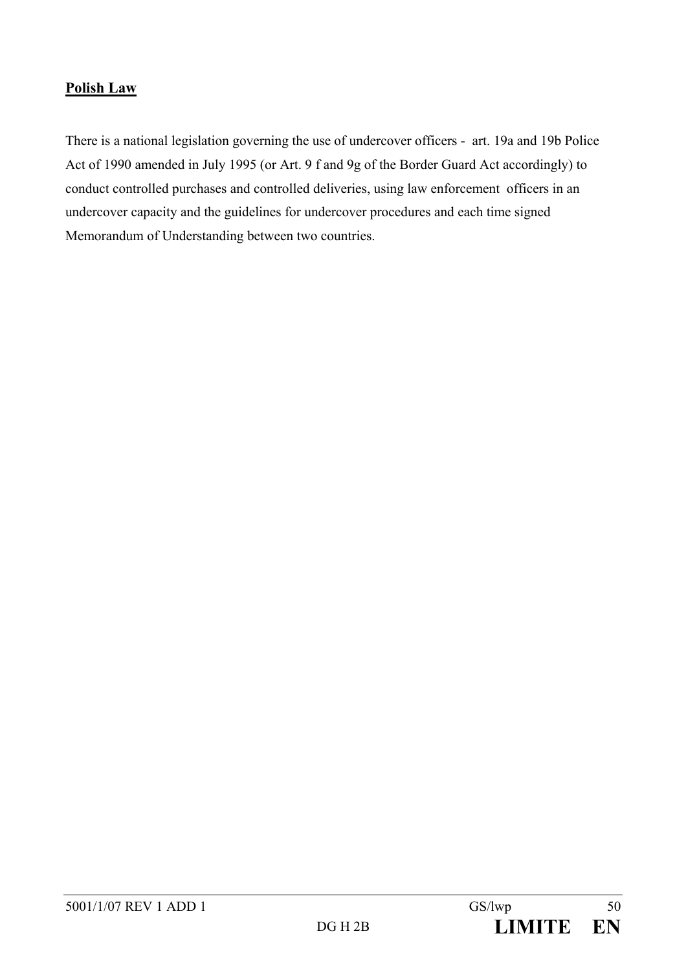# **Polish Law**

There is a national legislation governing the use of undercover officers - art. 19a and 19b Police Act of 1990 amended in July 1995 (or Art. 9 f and 9g of the Border Guard Act accordingly) to conduct controlled purchases and controlled deliveries, using law enforcement officers in an undercover capacity and the guidelines for undercover procedures and each time signed Memorandum of Understanding between two countries.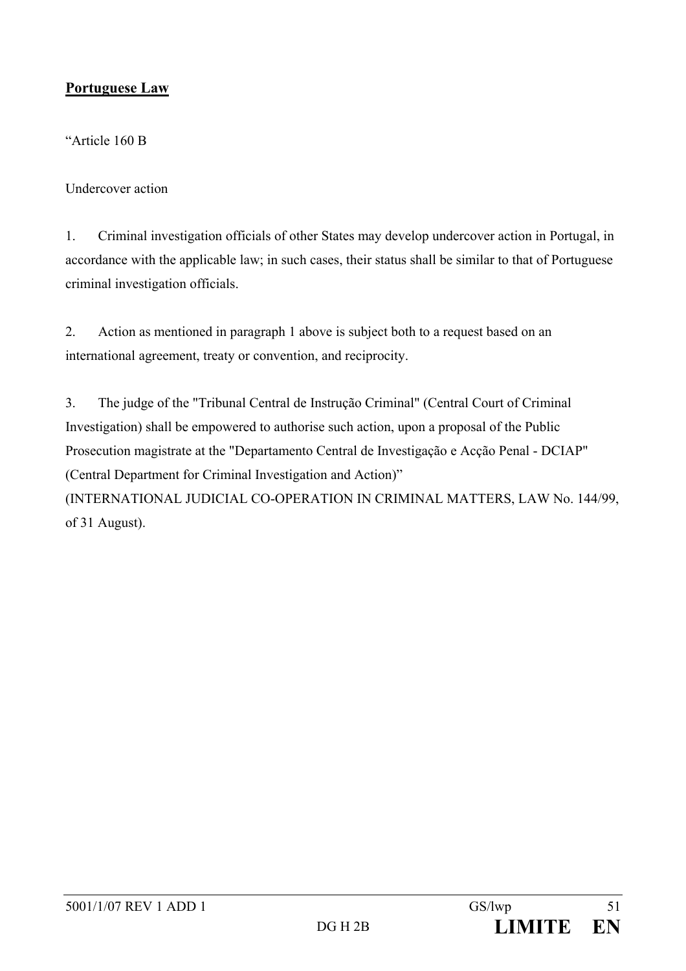# **Portuguese Law**

"Article 160 B

Undercover action

1. Criminal investigation officials of other States may develop undercover action in Portugal, in accordance with the applicable law; in such cases, their status shall be similar to that of Portuguese criminal investigation officials.

2. Action as mentioned in paragraph 1 above is subject both to a request based on an international agreement, treaty or convention, and reciprocity.

3. The judge of the "Tribunal Central de Instrução Criminal" (Central Court of Criminal Investigation) shall be empowered to authorise such action, upon a proposal of the Public Prosecution magistrate at the "Departamento Central de Investigação e Acção Penal - DCIAP" (Central Department for Criminal Investigation and Action)" (INTERNATIONAL JUDICIAL CO-OPERATION IN CRIMINAL MATTERS, LAW No. 144/99, of 31 August).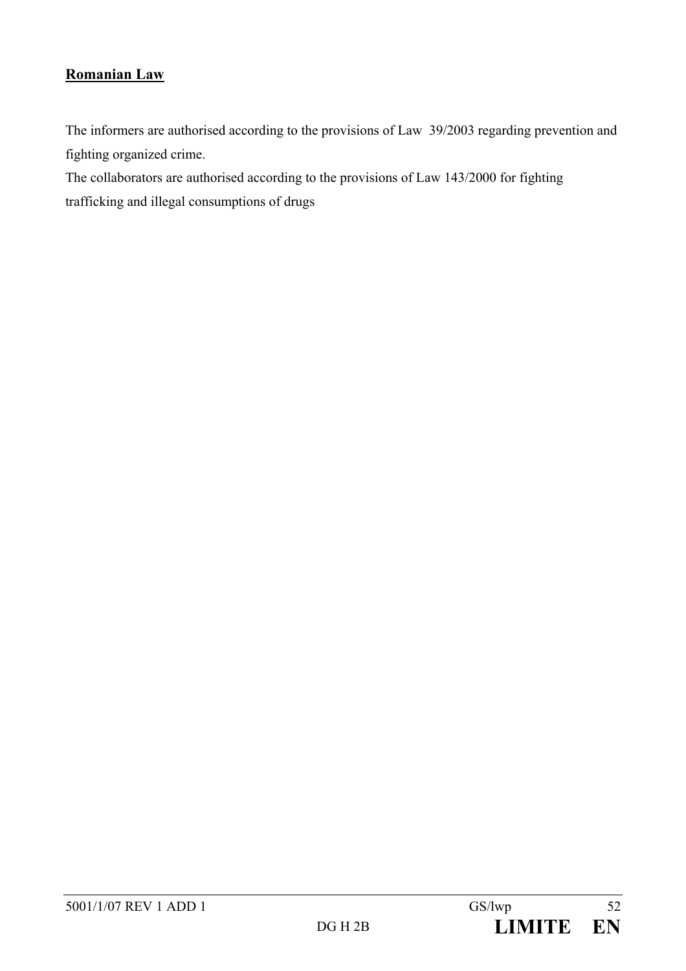# **Romanian Law**

The informers are authorised according to the provisions of Law 39/2003 regarding prevention and fighting organized crime.

The collaborators are authorised according to the provisions of Law 143/2000 for fighting trafficking and illegal consumptions of drugs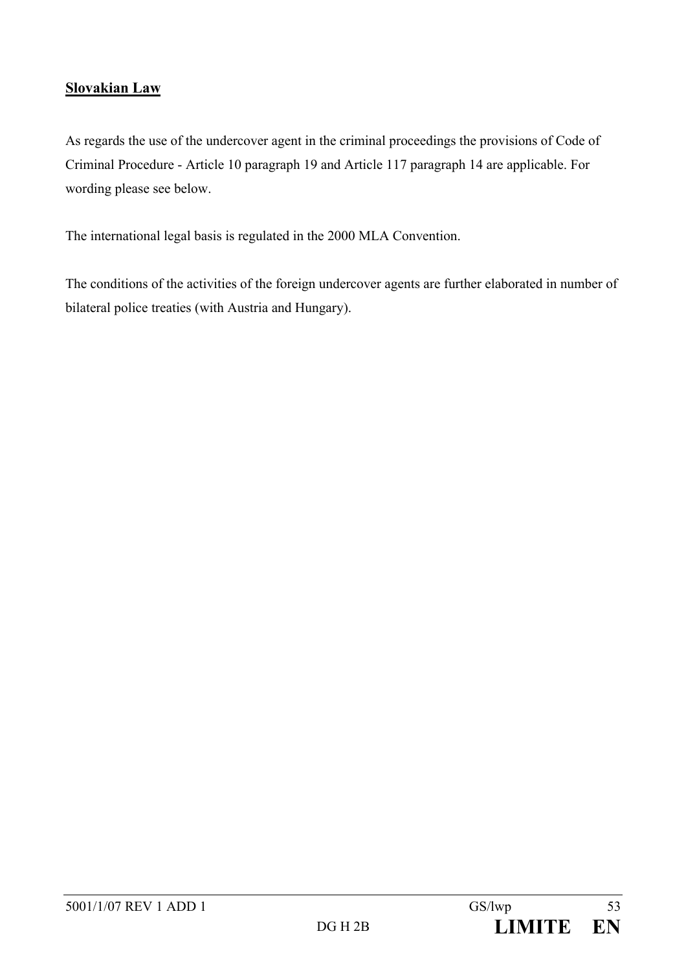# **Slovakian Law**

As regards the use of the undercover agent in the criminal proceedings the provisions of Code of Criminal Procedure - Article 10 paragraph 19 and Article 117 paragraph 14 are applicable. For wording please see below.

The international legal basis is regulated in the 2000 MLA Convention.

The conditions of the activities of the foreign undercover agents are further elaborated in number of bilateral police treaties (with Austria and Hungary).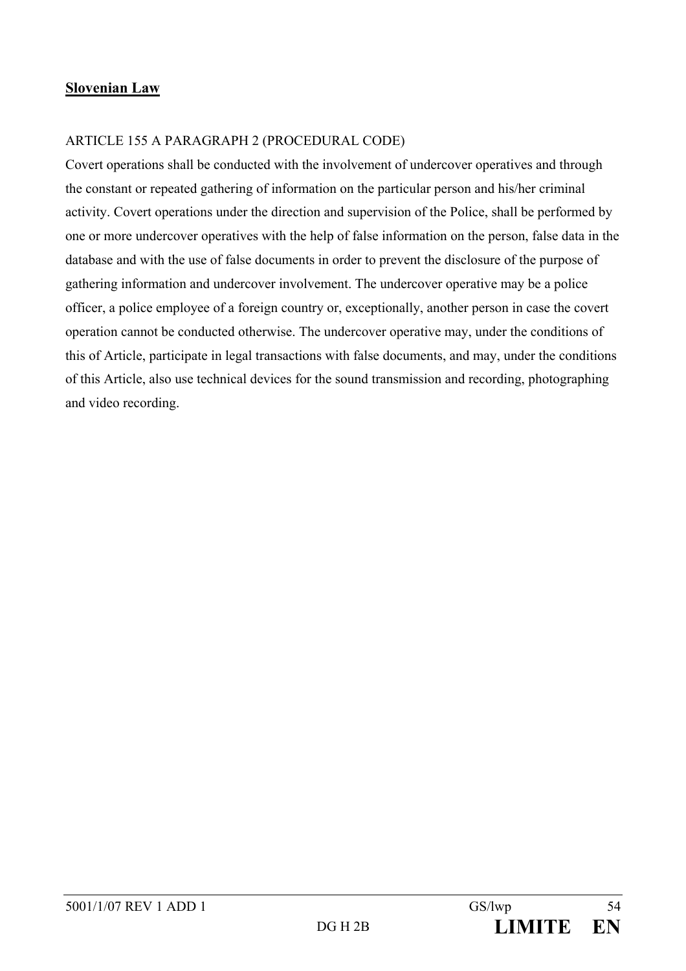## **Slovenian Law**

## ARTICLE 155 A PARAGRAPH 2 (PROCEDURAL CODE)

Covert operations shall be conducted with the involvement of undercover operatives and through the constant or repeated gathering of information on the particular person and his/her criminal activity. Covert operations under the direction and supervision of the Police, shall be performed by one or more undercover operatives with the help of false information on the person, false data in the database and with the use of false documents in order to prevent the disclosure of the purpose of gathering information and undercover involvement. The undercover operative may be a police officer, a police employee of a foreign country or, exceptionally, another person in case the covert operation cannot be conducted otherwise. The undercover operative may, under the conditions of this of Article, participate in legal transactions with false documents, and may, under the conditions of this Article, also use technical devices for the sound transmission and recording, photographing and video recording.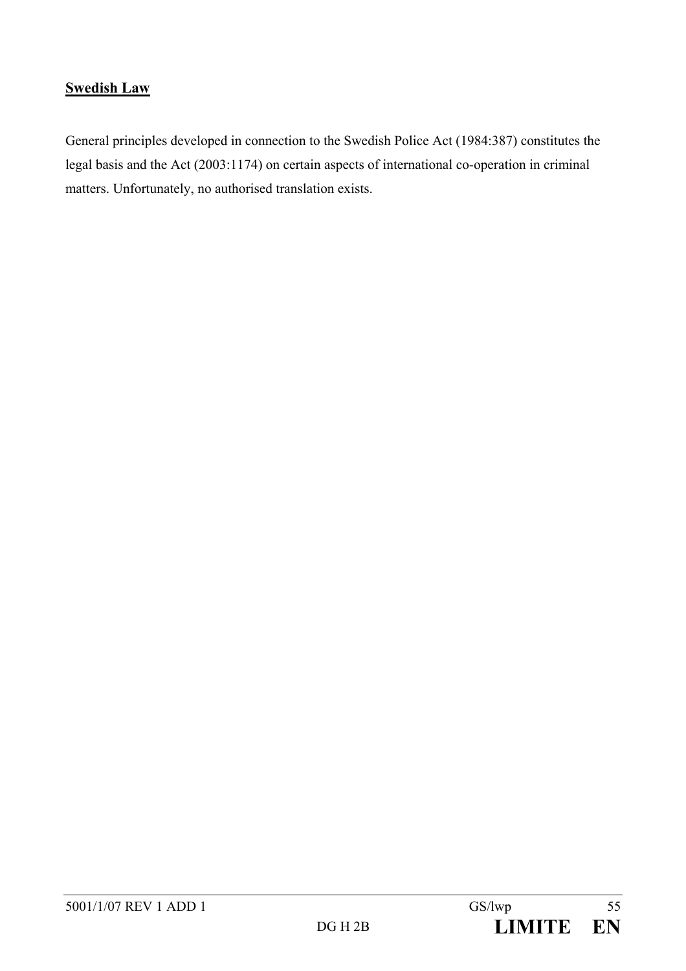# **Swedish Law**

General principles developed in connection to the Swedish Police Act (1984:387) constitutes the legal basis and the Act (2003:1174) on certain aspects of international co-operation in criminal matters. Unfortunately, no authorised translation exists.